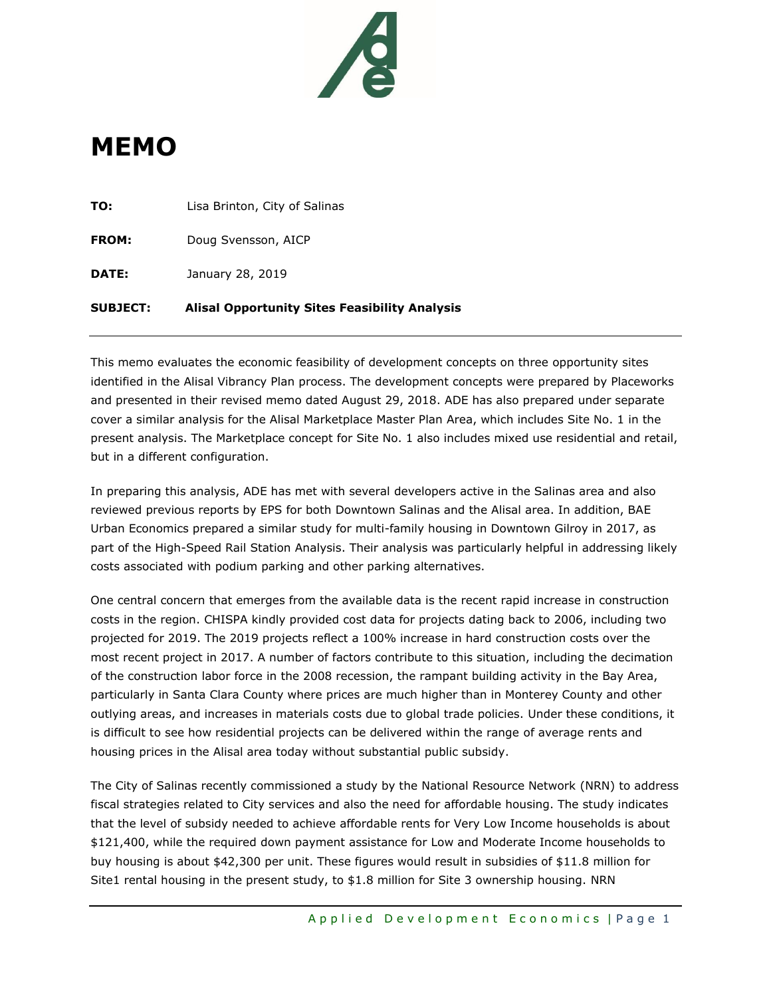

# **MEMO**

| <b>SUBJECT:</b> | <b>Alisal Opportunity Sites Feasibility Analysis</b> |
|-----------------|------------------------------------------------------|
| DATE:           | January 28, 2019                                     |
| <b>FROM:</b>    | Doug Svensson, AICP                                  |
| TO:             | Lisa Brinton, City of Salinas                        |

This memo evaluates the economic feasibility of development concepts on three opportunity sites identified in the Alisal Vibrancy Plan process. The development concepts were prepared by Placeworks and presented in their revised memo dated August 29, 2018. ADE has also prepared under separate cover a similar analysis for the Alisal Marketplace Master Plan Area, which includes Site No. 1 in the present analysis. The Marketplace concept for Site No. 1 also includes mixed use residential and retail, but in a different configuration.

In preparing this analysis, ADE has met with several developers active in the Salinas area and also reviewed previous reports by EPS for both Downtown Salinas and the Alisal area. In addition, BAE Urban Economics prepared a similar study for multi-family housing in Downtown Gilroy in 2017, as part of the High-Speed Rail Station Analysis. Their analysis was particularly helpful in addressing likely costs associated with podium parking and other parking alternatives.

One central concern that emerges from the available data is the recent rapid increase in construction costs in the region. CHISPA kindly provided cost data for projects dating back to 2006, including two projected for 2019. The 2019 projects reflect a 100% increase in hard construction costs over the most recent project in 2017. A number of factors contribute to this situation, including the decimation of the construction labor force in the 2008 recession, the rampant building activity in the Bay Area, particularly in Santa Clara County where prices are much higher than in Monterey County and other outlying areas, and increases in materials costs due to global trade policies. Under these conditions, it is difficult to see how residential projects can be delivered within the range of average rents and housing prices in the Alisal area today without substantial public subsidy.

The City of Salinas recently commissioned a study by the National Resource Network (NRN) to address fiscal strategies related to City services and also the need for affordable housing. The study indicates that the level of subsidy needed to achieve affordable rents for Very Low Income households is about \$121,400, while the required down payment assistance for Low and Moderate Income households to buy housing is about \$42,300 per unit. These figures would result in subsidies of \$11.8 million for Site1 rental housing in the present study, to \$1.8 million for Site 3 ownership housing. NRN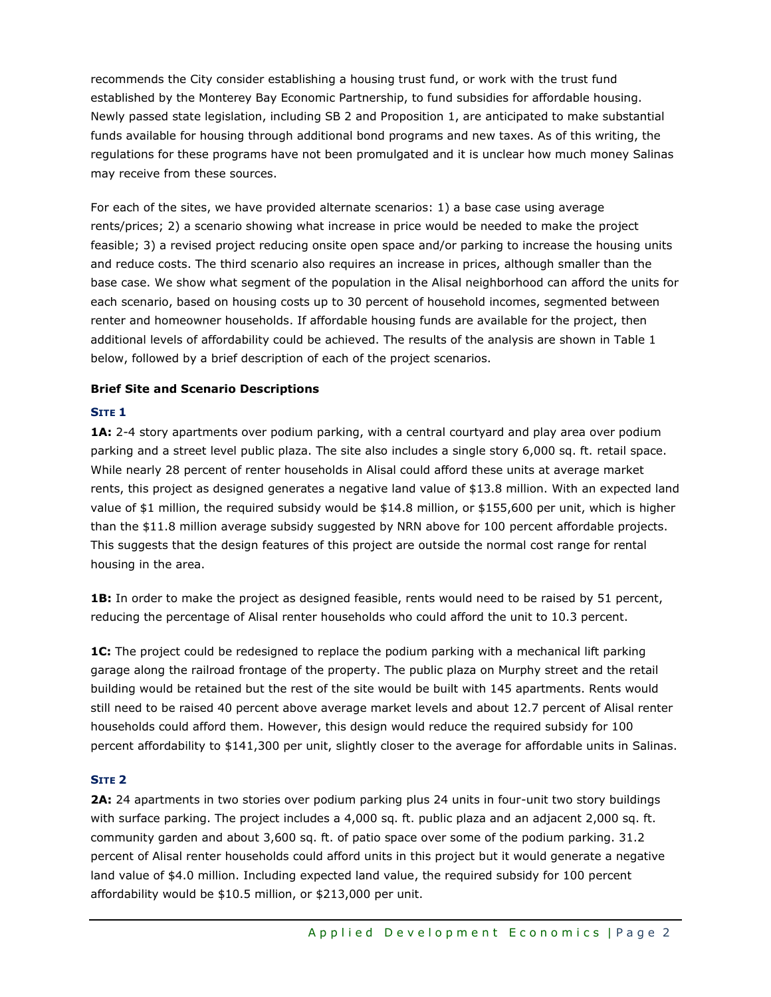recommends the City consider establishing a housing trust fund, or work with the trust fund established by the Monterey Bay Economic Partnership, to fund subsidies for affordable housing. Newly passed state legislation, including SB 2 and Proposition 1, are anticipated to make substantial funds available for housing through additional bond programs and new taxes. As of this writing, the regulations for these programs have not been promulgated and it is unclear how much money Salinas may receive from these sources.

For each of the sites, we have provided alternate scenarios: 1) a base case using average rents/prices; 2) a scenario showing what increase in price would be needed to make the project feasible; 3) a revised project reducing onsite open space and/or parking to increase the housing units and reduce costs. The third scenario also requires an increase in prices, although smaller than the base case. We show what segment of the population in the Alisal neighborhood can afford the units for each scenario, based on housing costs up to 30 percent of household incomes, segmented between renter and homeowner households. If affordable housing funds are available for the project, then additional levels of affordability could be achieved. The results of the analysis are shown in Table 1 below, followed by a brief description of each of the project scenarios.

## **Brief Site and Scenario Descriptions**

## **SITE 1**

**1A:** 2-4 story apartments over podium parking, with a central courtyard and play area over podium parking and a street level public plaza. The site also includes a single story 6,000 sq. ft. retail space. While nearly 28 percent of renter households in Alisal could afford these units at average market rents, this project as designed generates a negative land value of \$13.8 million. With an expected land value of \$1 million, the required subsidy would be \$14.8 million, or \$155,600 per unit, which is higher than the \$11.8 million average subsidy suggested by NRN above for 100 percent affordable projects. This suggests that the design features of this project are outside the normal cost range for rental housing in the area.

**1B:** In order to make the project as designed feasible, rents would need to be raised by 51 percent, reducing the percentage of Alisal renter households who could afford the unit to 10.3 percent.

**1C:** The project could be redesigned to replace the podium parking with a mechanical lift parking garage along the railroad frontage of the property. The public plaza on Murphy street and the retail building would be retained but the rest of the site would be built with 145 apartments. Rents would still need to be raised 40 percent above average market levels and about 12.7 percent of Alisal renter households could afford them. However, this design would reduce the required subsidy for 100 percent affordability to \$141,300 per unit, slightly closer to the average for affordable units in Salinas.

#### **SITE 2**

**2A:** 24 apartments in two stories over podium parking plus 24 units in four-unit two story buildings with surface parking. The project includes a 4,000 sq. ft. public plaza and an adjacent 2,000 sq. ft. community garden and about 3,600 sq. ft. of patio space over some of the podium parking. 31.2 percent of Alisal renter households could afford units in this project but it would generate a negative land value of \$4.0 million. Including expected land value, the required subsidy for 100 percent affordability would be \$10.5 million, or \$213,000 per unit.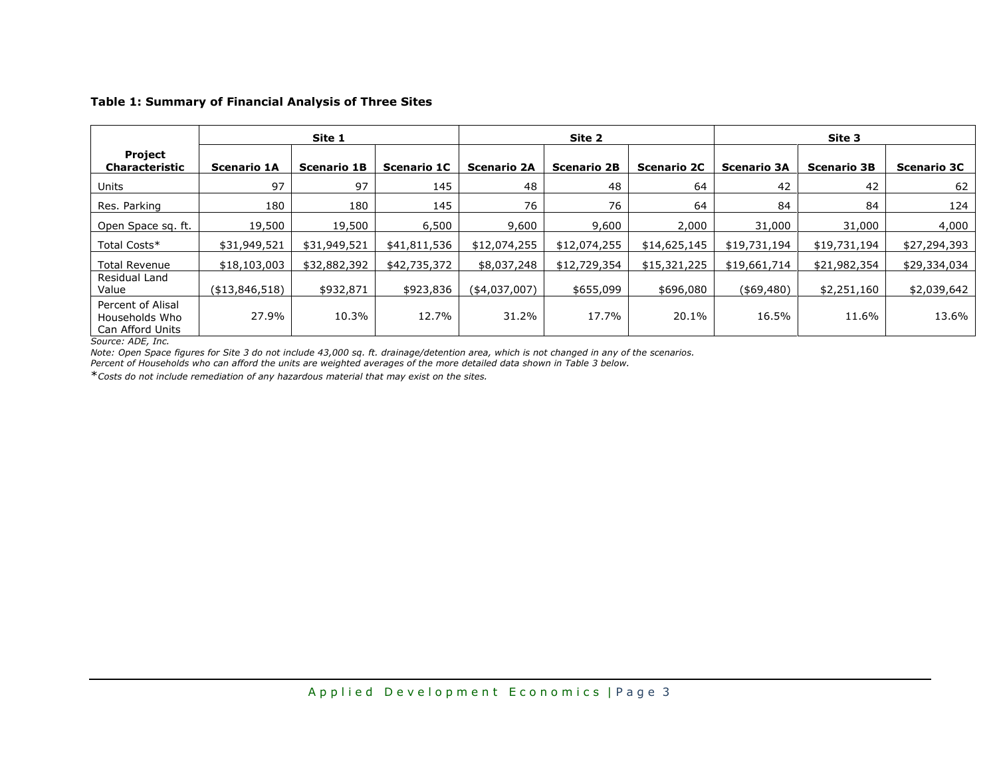#### **Table 1: Summary of Financial Analysis of Three Sites**

|                                                         | Site 1             |                    |                    | Site 2             |                    |                    | Site 3             |                    |                    |
|---------------------------------------------------------|--------------------|--------------------|--------------------|--------------------|--------------------|--------------------|--------------------|--------------------|--------------------|
| Project<br><b>Characteristic</b>                        | <b>Scenario 1A</b> | <b>Scenario 1B</b> | <b>Scenario 1C</b> | <b>Scenario 2A</b> | <b>Scenario 2B</b> | <b>Scenario 2C</b> | <b>Scenario 3A</b> | <b>Scenario 3B</b> | <b>Scenario 3C</b> |
| Units                                                   | 97                 | 97                 | 145                | 48                 | 48                 | 64                 | 42                 | 42                 | 62                 |
| Res. Parking                                            | 180                | 180                | 145                | 76                 | 76                 | 64                 | 84                 | 84                 | 124                |
| Open Space sq. ft.                                      | 19,500             | 19,500             | 6,500              | 9,600              | 9,600              | 2,000              | 31,000             | 31,000             | 4,000              |
| Total Costs*                                            | \$31,949,521       | \$31,949,521       | \$41,811,536       | \$12,074,255       | \$12,074,255       | \$14,625,145       | \$19,731,194       | \$19,731,194       | \$27,294,393       |
| <b>Total Revenue</b>                                    | \$18,103,003       | \$32,882,392       | \$42,735,372       | \$8,037,248        | \$12,729,354       | \$15,321,225       | \$19,661,714       | \$21,982,354       | \$29,334,034       |
| Residual Land<br>Value                                  | (\$13,846,518)     | \$932,871          | \$923,836          | $($ \$4,037,007)   | \$655,099          | \$696,080          | $($ \$69,480)      | \$2,251,160        | \$2,039,642        |
| Percent of Alisal<br>Households Who<br>Can Afford Units | 27.9%              | 10.3%              | 12.7%              | 31.2%              | 17.7%              | 20.1%              | 16.5%              | 11.6%              | 13.6%              |

*Source: ADE, Inc.*

*Note: Open Space figures for Site 3 do not include 43,000 sq. ft. drainage/detention area, which is not changed in any of the scenarios.*

*Percent of Households who can afford the units are weighted averages of the more detailed data shown in Table 3 below.*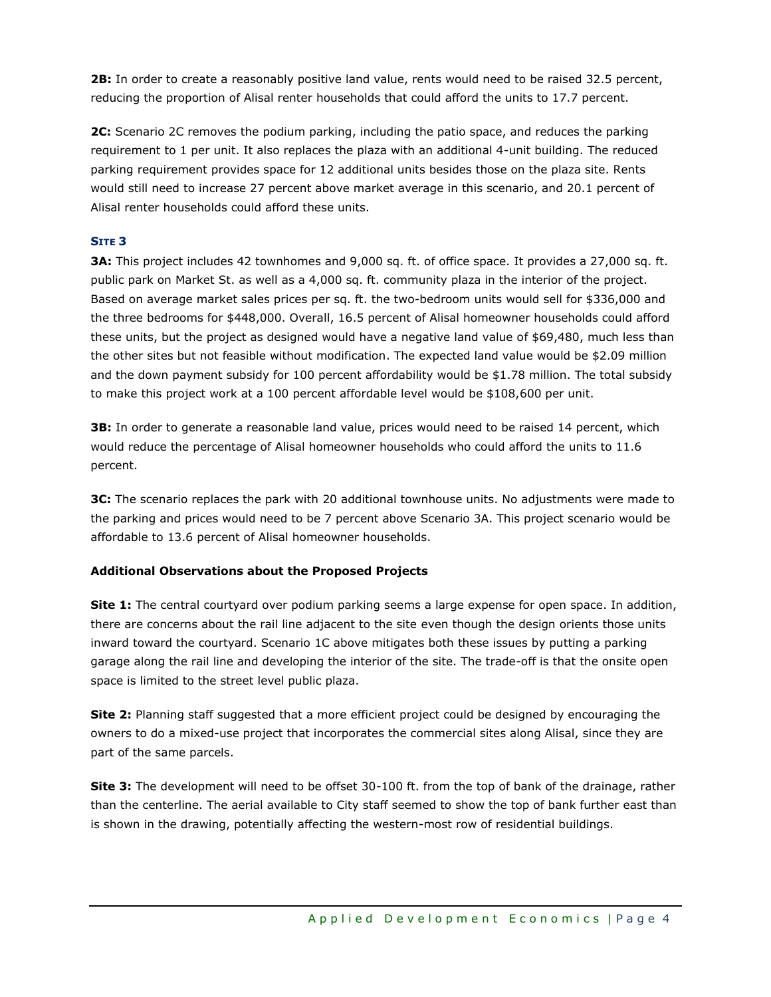**2B:** In order to create a reasonably positive land value, rents would need to be raised 32.5 percent, reducing the proportion of Alisal renter households that could afford the units to 17.7 percent.

**2C:** Scenario 2C removes the podium parking, including the patio space, and reduces the parking requirement to 1 per unit. It also replaces the plaza with an additional 4-unit building. The reduced parking requirement provides space for 12 additional units besides those on the plaza site. Rents would still need to increase 27 percent above market average in this scenario, and 20.1 percent of Alisal renter households could afford these units.

# **SITE 3**

**3A:** This project includes 42 townhomes and 9,000 sq. ft. of office space. It provides a 27,000 sq. ft. public park on Market St. as well as a 4,000 sq. ft. community plaza in the interior of the project. Based on average market sales prices per sq. ft. the two-bedroom units would sell for \$336,000 and the three bedrooms for \$448,000. Overall, 16.5 percent of Alisal homeowner households could afford these units, but the project as designed would have a negative land value of \$69,480, much less than the other sites but not feasible without modification. The expected land value would be \$2.09 million and the down payment subsidy for 100 percent affordability would be \$1.78 million. The total subsidy to make this project work at a 100 percent affordable level would be \$108,600 per unit.

**3B:** In order to generate a reasonable land value, prices would need to be raised 14 percent, which would reduce the percentage of Alisal homeowner households who could afford the units to 11.6 percent.

**3C:** The scenario replaces the park with 20 additional townhouse units. No adjustments were made to the parking and prices would need to be 7 percent above Scenario 3A. This project scenario would be affordable to 13.6 percent of Alisal homeowner households.

# **Additional Observations about the Proposed Projects**

**Site 1:** The central courtyard over podium parking seems a large expense for open space. In addition, there are concerns about the rail line adjacent to the site even though the design orients those units inward toward the courtyard. Scenario 1C above mitigates both these issues by putting a parking garage along the rail line and developing the interior of the site. The trade-off is that the onsite open space is limited to the street level public plaza.

**Site 2:** Planning staff suggested that a more efficient project could be designed by encouraging the owners to do a mixed-use project that incorporates the commercial sites along Alisal, since they are part of the same parcels.

**Site 3:** The development will need to be offset 30-100 ft. from the top of bank of the drainage, rather than the centerline. The aerial available to City staff seemed to show the top of bank further east than is shown in the drawing, potentially affecting the western-most row of residential buildings.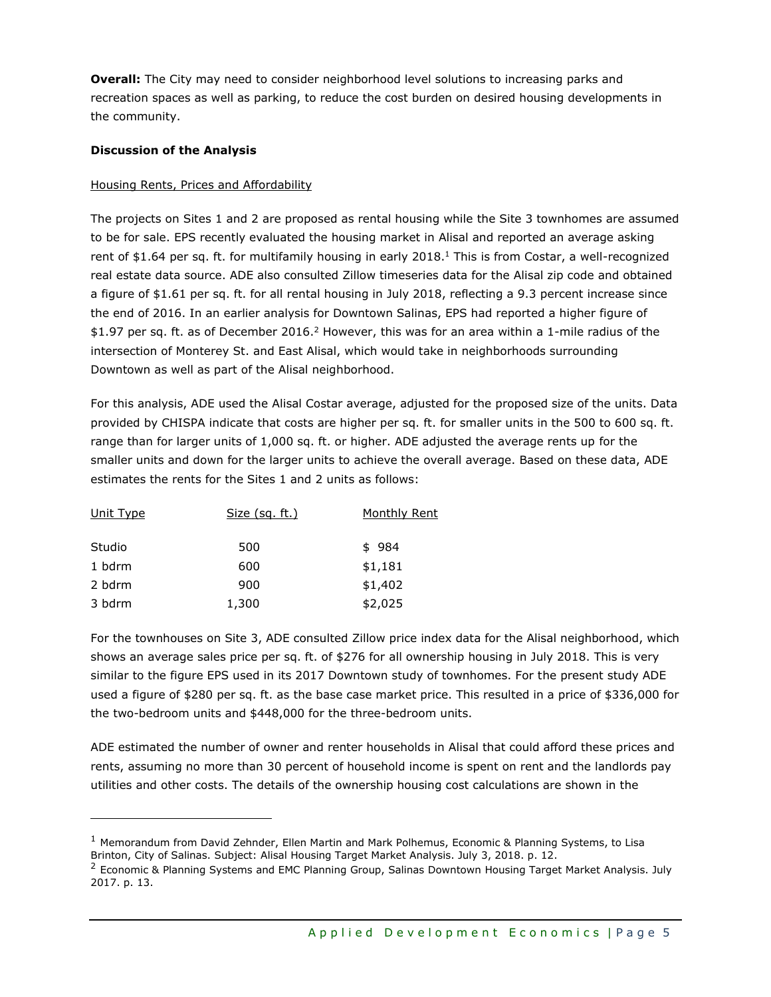**Overall:** The City may need to consider neighborhood level solutions to increasing parks and recreation spaces as well as parking, to reduce the cost burden on desired housing developments in the community.

## **Discussion of the Analysis**

## Housing Rents, Prices and Affordability

The projects on Sites 1 and 2 are proposed as rental housing while the Site 3 townhomes are assumed to be for sale. EPS recently evaluated the housing market in Alisal and reported an average asking rent of \$1.64 per sq. ft. for multifamily housing in early 2018.<sup>1</sup> This is from Costar, a well-recognized real estate data source. ADE also consulted Zillow timeseries data for the Alisal zip code and obtained a figure of \$1.61 per sq. ft. for all rental housing in July 2018, reflecting a 9.3 percent increase since the end of 2016. In an earlier analysis for Downtown Salinas, EPS had reported a higher figure of \$1.97 per sq. ft. as of December 2016.<sup>2</sup> However, this was for an area within a 1-mile radius of the intersection of Monterey St. and East Alisal, which would take in neighborhoods surrounding Downtown as well as part of the Alisal neighborhood.

For this analysis, ADE used the Alisal Costar average, adjusted for the proposed size of the units. Data provided by CHISPA indicate that costs are higher per sq. ft. for smaller units in the 500 to 600 sq. ft. range than for larger units of 1,000 sq. ft. or higher. ADE adjusted the average rents up for the smaller units and down for the larger units to achieve the overall average. Based on these data, ADE estimates the rents for the Sites 1 and 2 units as follows:

| Unit Type | <u>Size (sq. ft.)</u> | Monthly Rent |
|-----------|-----------------------|--------------|
| Studio    | 500                   | \$984        |
| 1 bdrm    | 600                   | \$1,181      |
| 2 bdrm    | 900                   | \$1,402      |
| 3 bdrm    | 1,300                 | \$2,025      |

For the townhouses on Site 3, ADE consulted Zillow price index data for the Alisal neighborhood, which shows an average sales price per sq. ft. of \$276 for all ownership housing in July 2018. This is very similar to the figure EPS used in its 2017 Downtown study of townhomes. For the present study ADE used a figure of \$280 per sq. ft. as the base case market price. This resulted in a price of \$336,000 for the two-bedroom units and \$448,000 for the three-bedroom units.

ADE estimated the number of owner and renter households in Alisal that could afford these prices and rents, assuming no more than 30 percent of household income is spent on rent and the landlords pay utilities and other costs. The details of the ownership housing cost calculations are shown in the

 $<sup>1</sup>$  Memorandum from David Zehnder, Ellen Martin and Mark Polhemus, Economic & Planning Systems, to Lisa</sup> Brinton, City of Salinas. Subject: Alisal Housing Target Market Analysis. July 3, 2018. p. 12.

<sup>&</sup>lt;sup>2</sup> Economic & Planning Systems and EMC Planning Group, Salinas Downtown Housing Target Market Analysis. July 2017. p. 13.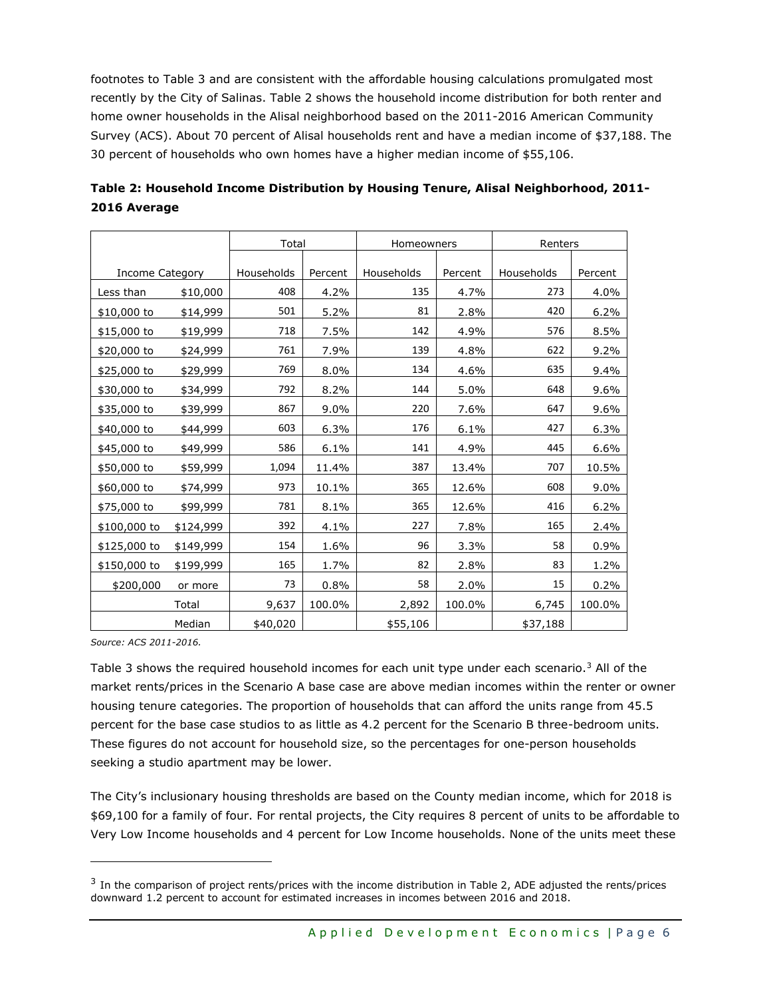footnotes to Table 3 and are consistent with the affordable housing calculations promulgated most recently by the City of Salinas. Table 2 shows the household income distribution for both renter and home owner households in the Alisal neighborhood based on the 2011-2016 American Community Survey (ACS). About 70 percent of Alisal households rent and have a median income of \$37,188. The 30 percent of households who own homes have a higher median income of \$55,106.

|                 |           | Total      |         | Homeowners |         | Renters    |         |  |
|-----------------|-----------|------------|---------|------------|---------|------------|---------|--|
|                 |           |            |         |            |         |            |         |  |
| Income Category |           | Households | Percent | Households | Percent | Households | Percent |  |
| Less than       | \$10,000  | 408        | 4.2%    | 135        | 4.7%    | 273        | 4.0%    |  |
| \$10,000 to     | \$14,999  | 501        | 5.2%    | 81         | 2.8%    | 420        | 6.2%    |  |
| \$15,000 to     | \$19,999  | 718        | 7.5%    | 142        | 4.9%    | 576        | 8.5%    |  |
| \$20,000 to     | \$24,999  | 761        | 7.9%    | 139        | 4.8%    | 622        | 9.2%    |  |
| \$25,000 to     | \$29,999  | 769        | 8.0%    | 134        | 4.6%    | 635        | 9.4%    |  |
| \$30,000 to     | \$34,999  | 792        | 8.2%    | 144        | 5.0%    | 648        | 9.6%    |  |
| \$35,000 to     | \$39,999  | 867        | 9.0%    | 220        | 7.6%    | 647        | 9.6%    |  |
| \$40,000 to     | \$44,999  | 603        | 6.3%    | 176        | 6.1%    | 427        | 6.3%    |  |
| \$45,000 to     | \$49,999  | 586        | 6.1%    | 141        | 4.9%    | 445        | 6.6%    |  |
| \$50,000 to     | \$59,999  | 1,094      | 11.4%   | 387        | 13.4%   | 707        | 10.5%   |  |
| \$60,000 to     | \$74,999  | 973        | 10.1%   | 365        | 12.6%   | 608        | 9.0%    |  |
| \$75,000 to     | \$99,999  | 781        | 8.1%    | 365        | 12.6%   | 416        | 6.2%    |  |
| \$100,000 to    | \$124,999 | 392        | 4.1%    | 227        | 7.8%    | 165        | 2.4%    |  |
| \$125,000 to    | \$149,999 | 154        | 1.6%    | 96         | 3.3%    | 58         | 0.9%    |  |
| \$150,000 to    | \$199,999 | 165        | 1.7%    | 82         | 2.8%    | 83         | 1.2%    |  |
| \$200,000       | or more   | 73         | 0.8%    | 58         | 2.0%    | 15         | 0.2%    |  |
|                 | Total     | 9,637      | 100.0%  | 2,892      | 100.0%  | 6,745      | 100.0%  |  |
|                 | Median    | \$40,020   |         | \$55,106   |         | \$37,188   |         |  |

| Table 2: Household Income Distribution by Housing Tenure, Alisal Neighborhood, 2011- |  |
|--------------------------------------------------------------------------------------|--|
| 2016 Average                                                                         |  |

*Source: ACS 2011-2016.*

Table 3 shows the required household incomes for each unit type under each scenario.<sup>3</sup> All of the market rents/prices in the Scenario A base case are above median incomes within the renter or owner housing tenure categories. The proportion of households that can afford the units range from 45.5 percent for the base case studios to as little as 4.2 percent for the Scenario B three-bedroom units. These figures do not account for household size, so the percentages for one-person households seeking a studio apartment may be lower.

The City's inclusionary housing thresholds are based on the County median income, which for 2018 is \$69,100 for a family of four. For rental projects, the City requires 8 percent of units to be affordable to Very Low Income households and 4 percent for Low Income households. None of the units meet these

 $3$  In the comparison of project rents/prices with the income distribution in Table 2, ADE adjusted the rents/prices downward 1.2 percent to account for estimated increases in incomes between 2016 and 2018.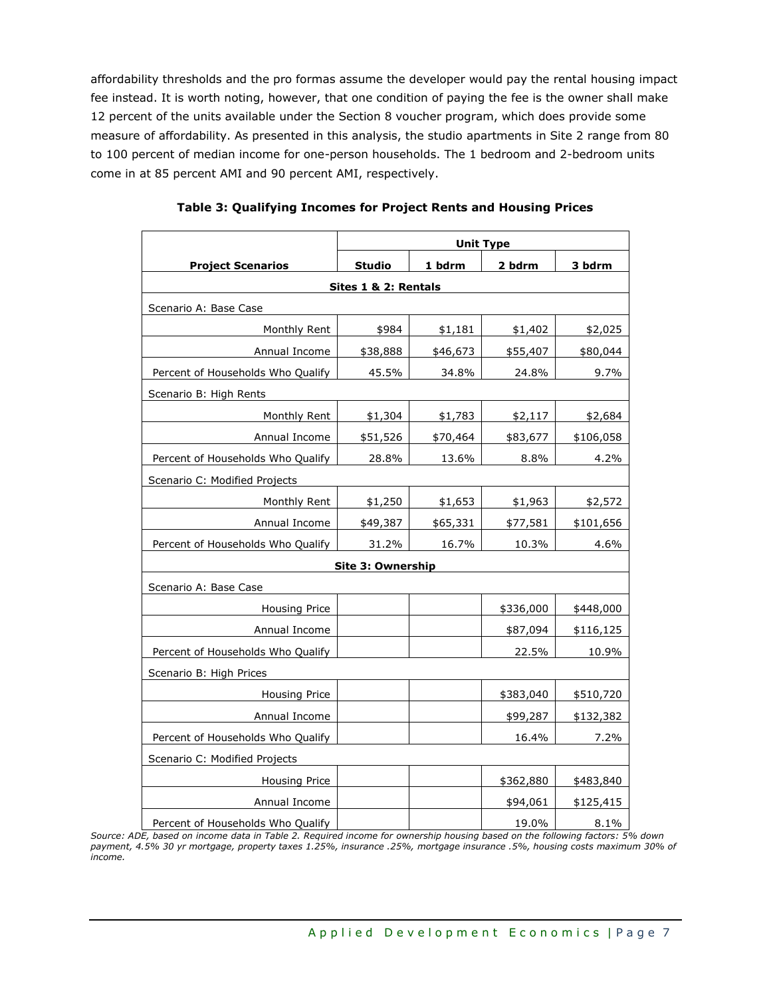affordability thresholds and the pro formas assume the developer would pay the rental housing impact fee instead. It is worth noting, however, that one condition of paying the fee is the owner shall make 12 percent of the units available under the Section 8 voucher program, which does provide some measure of affordability. As presented in this analysis, the studio apartments in Site 2 range from 80 to 100 percent of median income for one-person households. The 1 bedroom and 2-bedroom units come in at 85 percent AMI and 90 percent AMI, respectively.

|                                   | <b>Unit Type</b>         |          |           |           |  |  |  |
|-----------------------------------|--------------------------|----------|-----------|-----------|--|--|--|
| <b>Project Scenarios</b>          | <b>Studio</b>            | 1 bdrm   | 2 bdrm    | 3 bdrm    |  |  |  |
|                                   | Sites 1 & 2: Rentals     |          |           |           |  |  |  |
| Scenario A: Base Case             |                          |          |           |           |  |  |  |
| Monthly Rent                      | \$984                    | \$1,181  | \$1,402   | \$2,025   |  |  |  |
| Annual Income                     | \$38,888                 | \$46,673 | \$55,407  | \$80,044  |  |  |  |
| Percent of Households Who Qualify | 45.5%                    | 34.8%    | 24.8%     | 9.7%      |  |  |  |
| Scenario B: High Rents            |                          |          |           |           |  |  |  |
| Monthly Rent                      | \$1,304                  | \$1,783  | \$2,117   | \$2,684   |  |  |  |
| Annual Income                     | \$51,526                 | \$70,464 | \$83,677  | \$106,058 |  |  |  |
| Percent of Households Who Qualify | 28.8%                    | 13.6%    | 8.8%      | 4.2%      |  |  |  |
| Scenario C: Modified Projects     |                          |          |           |           |  |  |  |
| Monthly Rent                      | \$1,250                  | \$1,653  | \$1,963   | \$2,572   |  |  |  |
| Annual Income                     | \$49,387                 | \$65,331 | \$77,581  | \$101,656 |  |  |  |
| Percent of Households Who Qualify | 31.2%                    | 16.7%    | 10.3%     | 4.6%      |  |  |  |
|                                   | <b>Site 3: Ownership</b> |          |           |           |  |  |  |
| Scenario A: Base Case             |                          |          |           |           |  |  |  |
| Housing Price                     |                          |          | \$336,000 | \$448,000 |  |  |  |
| Annual Income                     |                          |          | \$87,094  | \$116,125 |  |  |  |
| Percent of Households Who Qualify |                          |          | 22.5%     | 10.9%     |  |  |  |
| Scenario B: High Prices           |                          |          |           |           |  |  |  |
| <b>Housing Price</b>              |                          |          | \$383,040 | \$510,720 |  |  |  |
| Annual Income                     |                          |          | \$99,287  | \$132,382 |  |  |  |
| Percent of Households Who Qualify |                          |          | 16.4%     | 7.2%      |  |  |  |
| Scenario C: Modified Projects     |                          |          |           |           |  |  |  |
| <b>Housing Price</b>              |                          |          | \$362,880 | \$483,840 |  |  |  |
| Annual Income                     |                          |          | \$94,061  | \$125,415 |  |  |  |
| Percent of Households Who Qualify |                          |          | 19.0%     | 8.1%      |  |  |  |

*Source: ADE, based on income data in Table 2. Required income for ownership housing based on the following factors: 5% down payment, 4.5% 30 yr mortgage, property taxes 1.25%, insurance .25%, mortgage insurance .5%, housing costs maximum 30% of income.*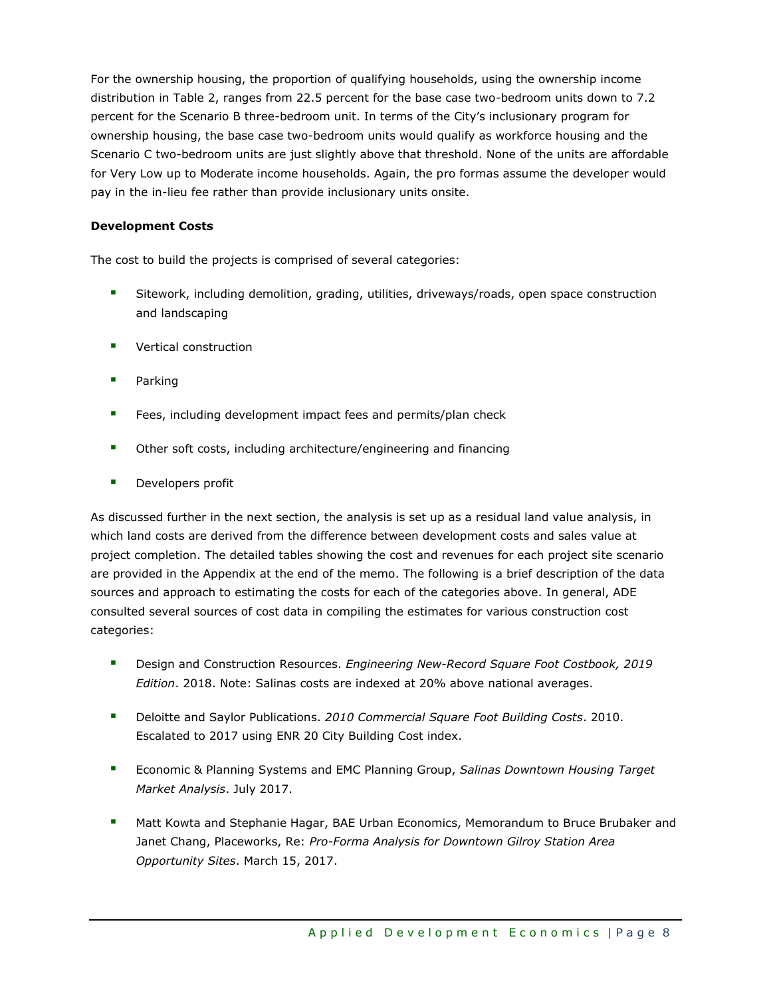For the ownership housing, the proportion of qualifying households, using the ownership income distribution in Table 2, ranges from 22.5 percent for the base case two-bedroom units down to 7.2 percent for the Scenario B three-bedroom unit. In terms of the City's inclusionary program for ownership housing, the base case two-bedroom units would qualify as workforce housing and the Scenario C two-bedroom units are just slightly above that threshold. None of the units are affordable for Very Low up to Moderate income households. Again, the pro formas assume the developer would pay in the in-lieu fee rather than provide inclusionary units onsite.

# **Development Costs**

The cost to build the projects is comprised of several categories:

- Sitework, including demolition, grading, utilities, driveways/roads, open space construction and landscaping
- Vertical construction
- Parking
- Fees, including development impact fees and permits/plan check
- Other soft costs, including architecture/engineering and financing
- **■** Developers profit

As discussed further in the next section, the analysis is set up as a residual land value analysis, in which land costs are derived from the difference between development costs and sales value at project completion. The detailed tables showing the cost and revenues for each project site scenario are provided in the Appendix at the end of the memo. The following is a brief description of the data sources and approach to estimating the costs for each of the categories above. In general, ADE consulted several sources of cost data in compiling the estimates for various construction cost categories:

- Design and Construction Resources. *Engineering New-Record Square Foot Costbook, 2019 Edition*. 2018. Note: Salinas costs are indexed at 20% above national averages.
- Deloitte and Saylor Publications. *2010 Commercial Square Foot Building Costs*. 2010. Escalated to 2017 using ENR 20 City Building Cost index.
- Economic & Planning Systems and EMC Planning Group, *Salinas Downtown Housing Target Market Analysis*. July 2017.
- **■** Matt Kowta and Stephanie Hagar, BAE Urban Economics, Memorandum to Bruce Brubaker and Janet Chang, Placeworks, Re: *Pro-Forma Analysis for Downtown Gilroy Station Area Opportunity Sites*. March 15, 2017.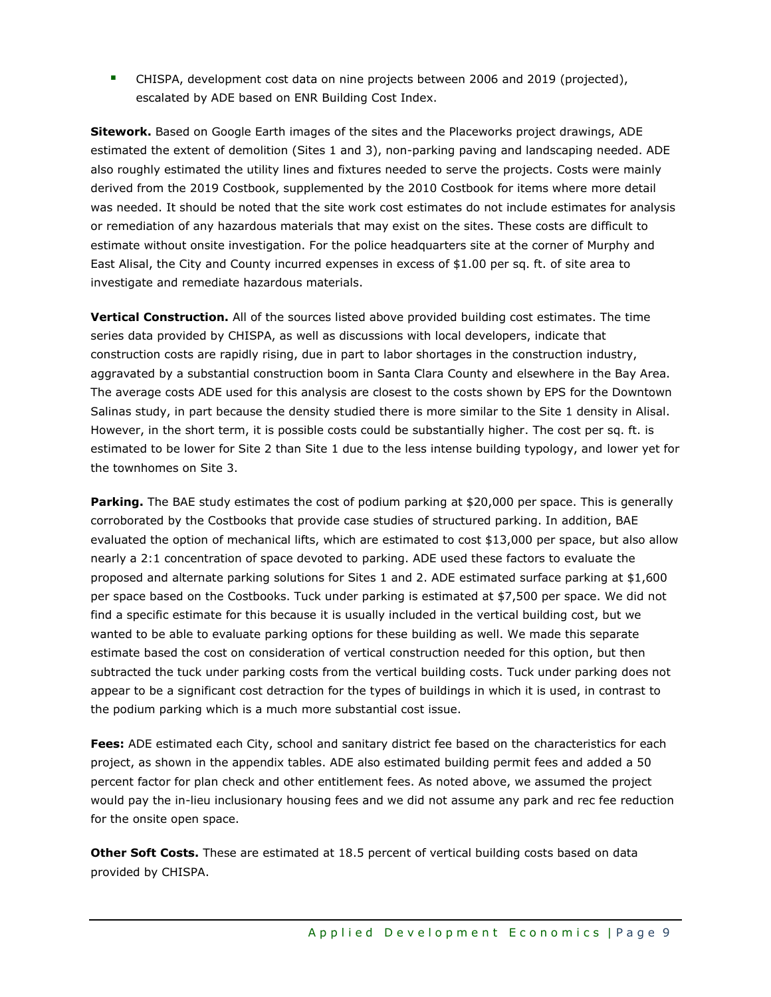**E** CHISPA, development cost data on nine projects between 2006 and 2019 (projected), escalated by ADE based on ENR Building Cost Index.

**Sitework.** Based on Google Earth images of the sites and the Placeworks project drawings, ADE estimated the extent of demolition (Sites 1 and 3), non-parking paving and landscaping needed. ADE also roughly estimated the utility lines and fixtures needed to serve the projects. Costs were mainly derived from the 2019 Costbook, supplemented by the 2010 Costbook for items where more detail was needed. It should be noted that the site work cost estimates do not include estimates for analysis or remediation of any hazardous materials that may exist on the sites. These costs are difficult to estimate without onsite investigation. For the police headquarters site at the corner of Murphy and East Alisal, the City and County incurred expenses in excess of \$1.00 per sq. ft. of site area to investigate and remediate hazardous materials.

**Vertical Construction.** All of the sources listed above provided building cost estimates. The time series data provided by CHISPA, as well as discussions with local developers, indicate that construction costs are rapidly rising, due in part to labor shortages in the construction industry, aggravated by a substantial construction boom in Santa Clara County and elsewhere in the Bay Area. The average costs ADE used for this analysis are closest to the costs shown by EPS for the Downtown Salinas study, in part because the density studied there is more similar to the Site 1 density in Alisal. However, in the short term, it is possible costs could be substantially higher. The cost per sq. ft. is estimated to be lower for Site 2 than Site 1 due to the less intense building typology, and lower yet for the townhomes on Site 3.

**Parking.** The BAE study estimates the cost of podium parking at \$20,000 per space. This is generally corroborated by the Costbooks that provide case studies of structured parking. In addition, BAE evaluated the option of mechanical lifts, which are estimated to cost \$13,000 per space, but also allow nearly a 2:1 concentration of space devoted to parking. ADE used these factors to evaluate the proposed and alternate parking solutions for Sites 1 and 2. ADE estimated surface parking at \$1,600 per space based on the Costbooks. Tuck under parking is estimated at \$7,500 per space. We did not find a specific estimate for this because it is usually included in the vertical building cost, but we wanted to be able to evaluate parking options for these building as well. We made this separate estimate based the cost on consideration of vertical construction needed for this option, but then subtracted the tuck under parking costs from the vertical building costs. Tuck under parking does not appear to be a significant cost detraction for the types of buildings in which it is used, in contrast to the podium parking which is a much more substantial cost issue.

**Fees:** ADE estimated each City, school and sanitary district fee based on the characteristics for each project, as shown in the appendix tables. ADE also estimated building permit fees and added a 50 percent factor for plan check and other entitlement fees. As noted above, we assumed the project would pay the in-lieu inclusionary housing fees and we did not assume any park and rec fee reduction for the onsite open space.

**Other Soft Costs.** These are estimated at 18.5 percent of vertical building costs based on data provided by CHISPA.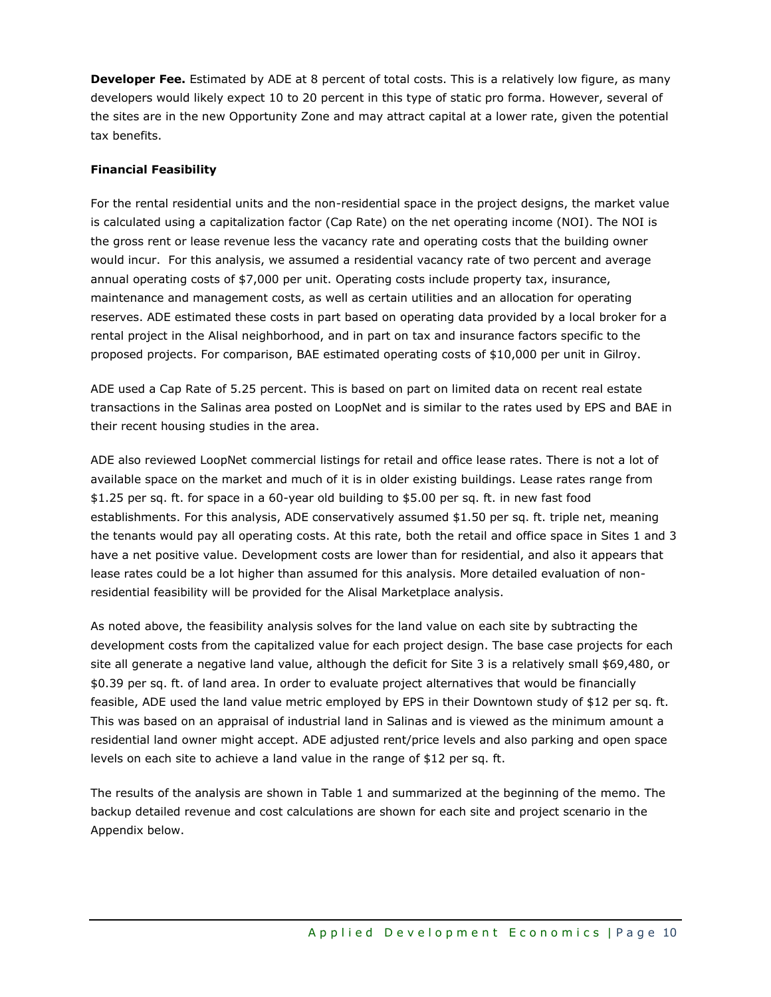**Developer Fee.** Estimated by ADE at 8 percent of total costs. This is a relatively low figure, as many developers would likely expect 10 to 20 percent in this type of static pro forma. However, several of the sites are in the new Opportunity Zone and may attract capital at a lower rate, given the potential tax benefits.

# **Financial Feasibility**

For the rental residential units and the non-residential space in the project designs, the market value is calculated using a capitalization factor (Cap Rate) on the net operating income (NOI). The NOI is the gross rent or lease revenue less the vacancy rate and operating costs that the building owner would incur. For this analysis, we assumed a residential vacancy rate of two percent and average annual operating costs of \$7,000 per unit. Operating costs include property tax, insurance, maintenance and management costs, as well as certain utilities and an allocation for operating reserves. ADE estimated these costs in part based on operating data provided by a local broker for a rental project in the Alisal neighborhood, and in part on tax and insurance factors specific to the proposed projects. For comparison, BAE estimated operating costs of \$10,000 per unit in Gilroy.

ADE used a Cap Rate of 5.25 percent. This is based on part on limited data on recent real estate transactions in the Salinas area posted on LoopNet and is similar to the rates used by EPS and BAE in their recent housing studies in the area.

ADE also reviewed LoopNet commercial listings for retail and office lease rates. There is not a lot of available space on the market and much of it is in older existing buildings. Lease rates range from \$1.25 per sq. ft. for space in a 60-year old building to \$5.00 per sq. ft. in new fast food establishments. For this analysis, ADE conservatively assumed \$1.50 per sq. ft. triple net, meaning the tenants would pay all operating costs. At this rate, both the retail and office space in Sites 1 and 3 have a net positive value. Development costs are lower than for residential, and also it appears that lease rates could be a lot higher than assumed for this analysis. More detailed evaluation of nonresidential feasibility will be provided for the Alisal Marketplace analysis.

As noted above, the feasibility analysis solves for the land value on each site by subtracting the development costs from the capitalized value for each project design. The base case projects for each site all generate a negative land value, although the deficit for Site 3 is a relatively small \$69,480, or \$0.39 per sq. ft. of land area. In order to evaluate project alternatives that would be financially feasible, ADE used the land value metric employed by EPS in their Downtown study of \$12 per sq. ft. This was based on an appraisal of industrial land in Salinas and is viewed as the minimum amount a residential land owner might accept. ADE adjusted rent/price levels and also parking and open space levels on each site to achieve a land value in the range of \$12 per sq. ft.

The results of the analysis are shown in Table 1 and summarized at the beginning of the memo. The backup detailed revenue and cost calculations are shown for each site and project scenario in the Appendix below.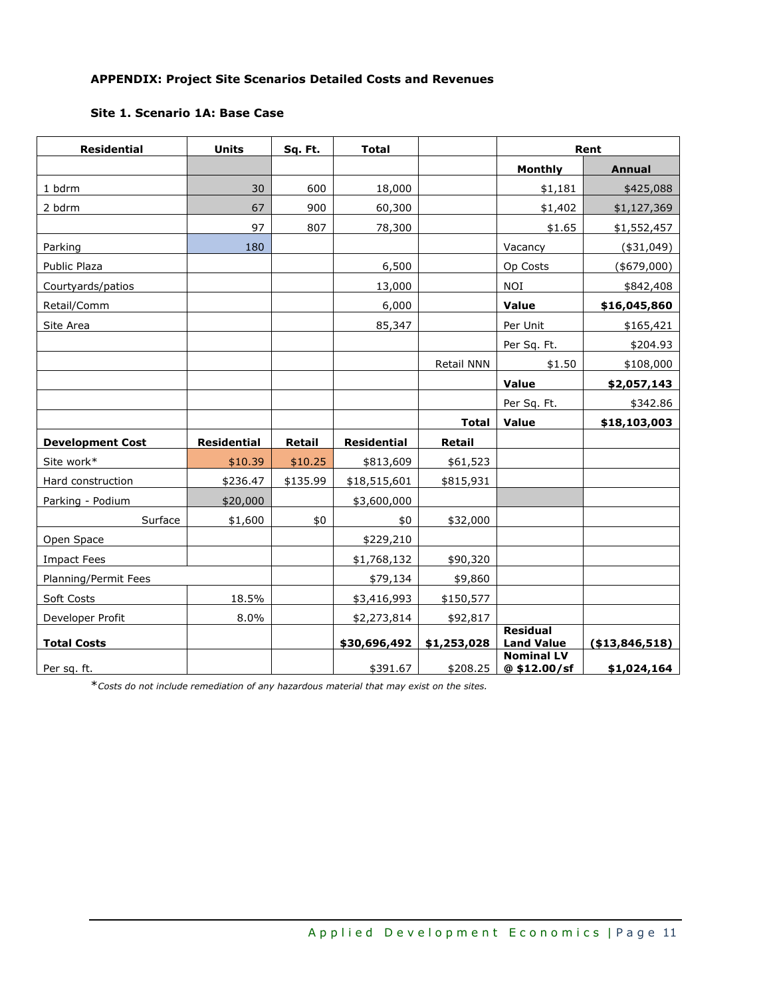# **APPENDIX: Project Site Scenarios Detailed Costs and Revenues**

# **Site 1. Scenario 1A: Base Case**

| <b>Residential</b>      | <b>Units</b>       | Sq. Ft.  | <b>Total</b>       |               | Rent                                 |                 |
|-------------------------|--------------------|----------|--------------------|---------------|--------------------------------------|-----------------|
|                         |                    |          |                    |               | Monthly                              | <b>Annual</b>   |
| 1 bdrm                  | 30                 | 600      | 18,000             |               | \$1,181                              | \$425,088       |
| 2 bdrm                  | 67                 | 900      | 60,300             |               | \$1,402                              | \$1,127,369     |
|                         | 97                 | 807      | 78,300             |               | \$1.65                               | \$1,552,457     |
| Parking                 | 180                |          |                    |               | Vacancy                              | $(*31,049)$     |
| Public Plaza            |                    |          | 6,500              |               | Op Costs                             | $(*679,000)$    |
| Courtyards/patios       |                    |          | 13,000             |               | <b>NOI</b>                           | \$842,408       |
| Retail/Comm             |                    |          | 6,000              |               | Value                                | \$16,045,860    |
| Site Area               |                    |          | 85,347             |               | Per Unit                             | \$165,421       |
|                         |                    |          |                    |               | Per Sq. Ft.                          | \$204.93        |
|                         |                    |          |                    | Retail NNN    | \$1.50                               | \$108,000       |
|                         |                    |          |                    |               | Value                                | \$2,057,143     |
|                         |                    |          |                    |               | Per Sq. Ft.                          | \$342.86        |
|                         |                    |          |                    | <b>Total</b>  | Value                                | \$18,103,003    |
| <b>Development Cost</b> | <b>Residential</b> | Retail   | <b>Residential</b> | <b>Retail</b> |                                      |                 |
| Site work*              | \$10.39            | \$10.25  | \$813,609          | \$61,523      |                                      |                 |
| Hard construction       | \$236.47           | \$135.99 | \$18,515,601       | \$815,931     |                                      |                 |
| Parking - Podium        | \$20,000           |          | \$3,600,000        |               |                                      |                 |
| Surface                 | \$1,600            | \$0      | \$0                | \$32,000      |                                      |                 |
| Open Space              |                    |          | \$229,210          |               |                                      |                 |
| <b>Impact Fees</b>      |                    |          | \$1,768,132        | \$90,320      |                                      |                 |
| Planning/Permit Fees    |                    |          | \$79,134           | \$9,860       |                                      |                 |
| Soft Costs              | 18.5%              |          | \$3,416,993        | \$150,577     |                                      |                 |
| Developer Profit        | 8.0%               |          | \$2,273,814        | \$92,817      |                                      |                 |
| <b>Total Costs</b>      |                    |          | \$30,696,492       | \$1,253,028   | <b>Residual</b><br><b>Land Value</b> | ( \$13,846,518) |
|                         |                    |          |                    |               | <b>Nominal LV</b>                    |                 |
| Per sq. ft.             |                    |          | \$391.67           | \$208.25      | @\$12.00/sf                          | \$1,024,164     |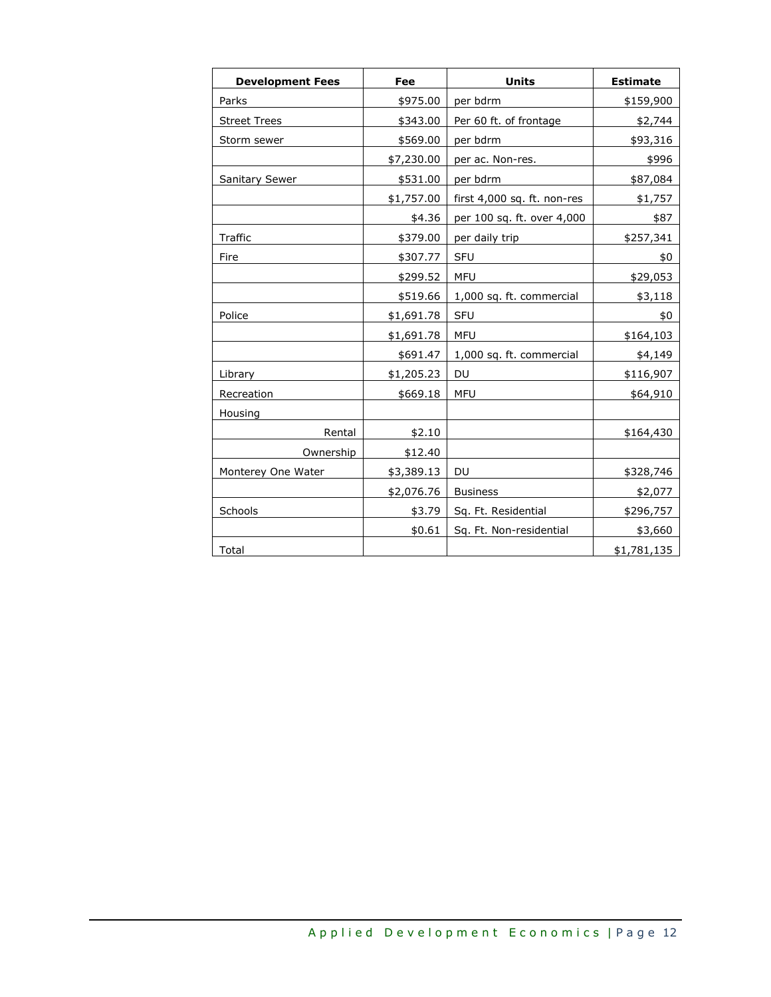| <b>Development Fees</b> | Fee        | <b>Units</b>                | <b>Estimate</b> |
|-------------------------|------------|-----------------------------|-----------------|
| Parks                   | \$975.00   | per bdrm                    | \$159,900       |
| <b>Street Trees</b>     | \$343.00   | Per 60 ft. of frontage      | \$2,744         |
| Storm sewer             | \$569.00   | per bdrm                    | \$93,316        |
|                         | \$7,230.00 | per ac. Non-res.            | \$996           |
| <b>Sanitary Sewer</b>   | \$531.00   | per bdrm                    | \$87,084        |
|                         | \$1,757.00 | first 4,000 sq. ft. non-res | \$1,757         |
|                         | \$4.36     | per 100 sq. ft. over 4,000  | \$87            |
| Traffic                 | \$379.00   | per daily trip              | \$257,341       |
| Fire                    | \$307.77   | <b>SFU</b>                  | \$0             |
|                         | \$299.52   | <b>MFU</b>                  | \$29,053        |
|                         | \$519.66   | 1,000 sq. ft. commercial    | \$3,118         |
| Police                  | \$1,691.78 | <b>SFU</b>                  | \$0             |
|                         | \$1,691.78 | <b>MFU</b>                  | \$164,103       |
|                         | \$691.47   | 1,000 sq. ft. commercial    | \$4,149         |
| Library                 | \$1,205.23 | DU                          | \$116,907       |
| Recreation              | \$669.18   | <b>MFU</b>                  | \$64,910        |
| Housing                 |            |                             |                 |
| Rental                  | \$2.10     |                             | \$164,430       |
| Ownership               | \$12.40    |                             |                 |
| Monterey One Water      | \$3,389.13 | DU                          | \$328,746       |
|                         | \$2,076.76 | <b>Business</b>             | \$2,077         |
| Schools                 | \$3.79     | Sq. Ft. Residential         | \$296,757       |
|                         | \$0.61     | Sq. Ft. Non-residential     | \$3,660         |
| Total                   |            |                             | \$1,781,135     |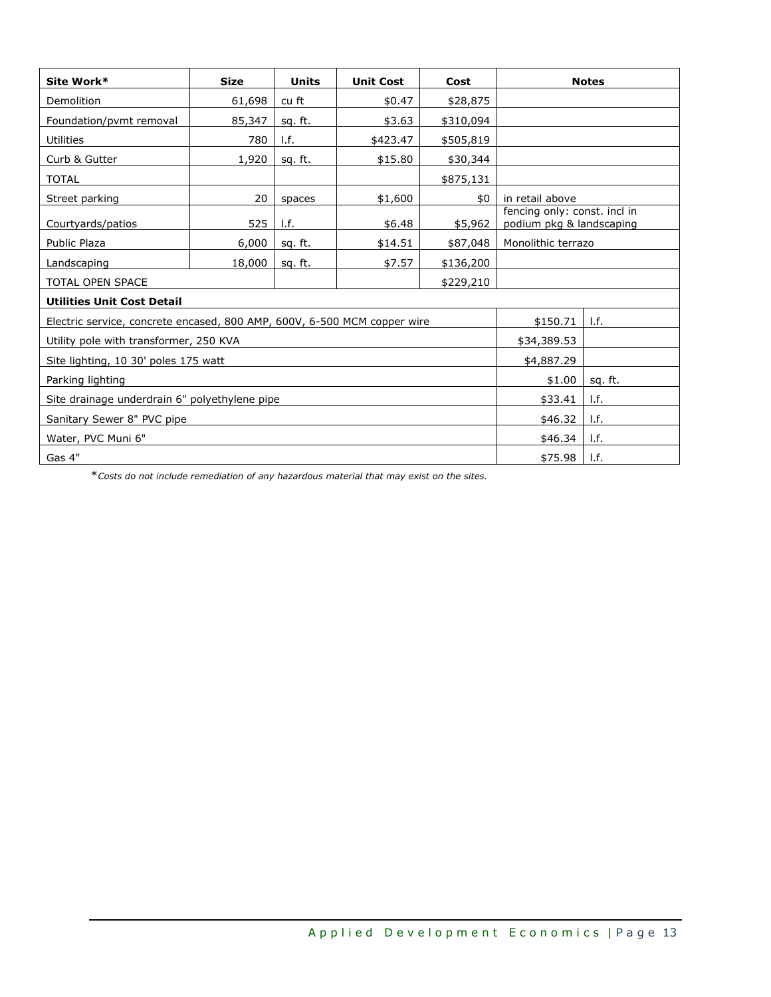| Site Work*                                                               | <b>Size</b> | <b>Units</b> | <b>Unit Cost</b> | Cost      |                                                          | <b>Notes</b>              |  |
|--------------------------------------------------------------------------|-------------|--------------|------------------|-----------|----------------------------------------------------------|---------------------------|--|
| Demolition                                                               | 61,698      | cu ft        | \$0.47           | \$28,875  |                                                          |                           |  |
| Foundation/pvmt removal                                                  | 85,347      | sq. ft.      | \$3.63           | \$310,094 |                                                          |                           |  |
| <b>Utilities</b>                                                         | 780         | I.f.         | \$423.47         | \$505,819 |                                                          |                           |  |
| Curb & Gutter                                                            | 1,920       | sq. ft.      | \$15.80          | \$30,344  |                                                          |                           |  |
| <b>TOTAL</b>                                                             |             |              |                  | \$875,131 |                                                          |                           |  |
| Street parking                                                           | 20          | spaces       | \$1,600          | \$0       | in retail above                                          |                           |  |
| Courtyards/patios                                                        | 525         | 1.f.         | \$6.48           | \$5,962   | fencing only: const. incl in<br>podium pkg & landscaping |                           |  |
| Public Plaza                                                             | 6,000       | sq. ft.      | \$14.51          | \$87,048  | Monolithic terrazo                                       |                           |  |
| Landscaping                                                              | 18,000      | sq. ft.      | \$7.57           | \$136,200 |                                                          |                           |  |
| <b>TOTAL OPEN SPACE</b>                                                  |             |              |                  | \$229,210 |                                                          |                           |  |
| <b>Utilities Unit Cost Detail</b>                                        |             |              |                  |           |                                                          |                           |  |
| Electric service, concrete encased, 800 AMP, 600V, 6-500 MCM copper wire |             |              |                  |           | \$150.71                                                 | $\mathsf{I}.\mathsf{f}$ . |  |
| Utility pole with transformer, 250 KVA                                   |             |              |                  |           | \$34,389.53                                              |                           |  |
| Site lighting, 10 30' poles 175 watt                                     |             |              |                  |           | \$4,887.29                                               |                           |  |
| Parking lighting                                                         | \$1.00      | sq. ft.      |                  |           |                                                          |                           |  |
| Site drainage underdrain 6" polyethylene pipe                            | \$33.41     | I.f.         |                  |           |                                                          |                           |  |
| Sanitary Sewer 8" PVC pipe                                               | \$46.32     | I.f.         |                  |           |                                                          |                           |  |
| Water, PVC Muni 6"                                                       |             |              |                  |           |                                                          |                           |  |
| Gas 4"                                                                   |             |              |                  |           |                                                          |                           |  |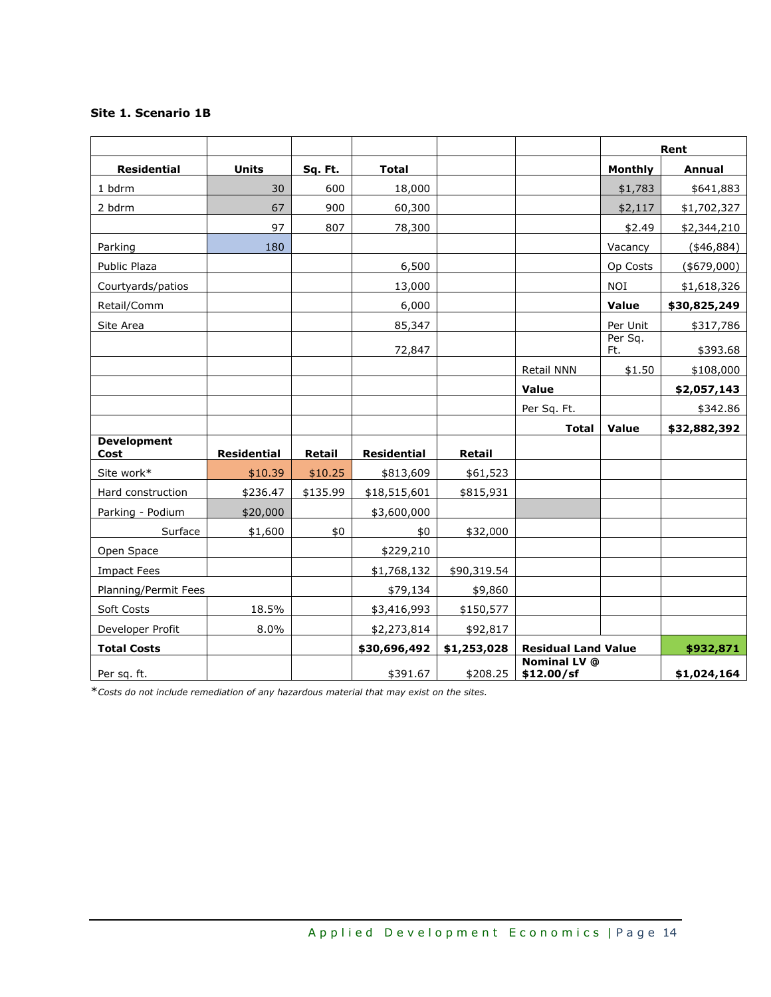# **Site 1. Scenario 1B**

|                            |                    |               |                    |             |                                   |                | Rent         |  |
|----------------------------|--------------------|---------------|--------------------|-------------|-----------------------------------|----------------|--------------|--|
| <b>Residential</b>         | <b>Units</b>       | Sq. Ft.       | <b>Total</b>       |             |                                   | <b>Monthly</b> | Annual       |  |
| 1 bdrm                     | 30                 | 600           | 18,000             |             |                                   | \$1,783        | \$641,883    |  |
| 2 bdrm                     | 67                 | 900           | 60,300             |             |                                   | \$2,117        | \$1,702,327  |  |
|                            | 97                 | 807           | 78,300             |             |                                   | \$2.49         | \$2,344,210  |  |
| Parking                    | 180                |               |                    |             |                                   | Vacancy        | $(*46,884)$  |  |
| Public Plaza               |                    |               | 6,500              |             |                                   | Op Costs       | $(*679,000)$ |  |
| Courtyards/patios          |                    |               | 13,000             |             |                                   | <b>NOI</b>     | \$1,618,326  |  |
| Retail/Comm                |                    |               | 6,000              |             |                                   | Value          | \$30,825,249 |  |
| Site Area                  |                    |               | 85,347             |             |                                   | Per Unit       | \$317,786    |  |
|                            |                    |               | 72,847             |             |                                   | Per Sq.<br>Ft. | \$393.68     |  |
|                            |                    |               |                    |             | Retail NNN                        | \$1.50         | \$108,000    |  |
|                            |                    |               |                    |             | <b>Value</b>                      |                | \$2,057,143  |  |
|                            |                    |               |                    |             | Per Sq. Ft.                       |                | \$342.86     |  |
|                            |                    |               |                    |             | <b>Total</b>                      | Value          | \$32,882,392 |  |
| <b>Development</b><br>Cost | <b>Residential</b> | <b>Retail</b> | <b>Residential</b> | Retail      |                                   |                |              |  |
| Site work*                 | \$10.39            | \$10.25       | \$813,609          | \$61,523    |                                   |                |              |  |
| Hard construction          | \$236.47           | \$135.99      | \$18,515,601       | \$815,931   |                                   |                |              |  |
| Parking - Podium           | \$20,000           |               | \$3,600,000        |             |                                   |                |              |  |
| Surface                    | \$1,600            | \$0           | \$0                | \$32,000    |                                   |                |              |  |
| Open Space                 |                    |               | \$229,210          |             |                                   |                |              |  |
| <b>Impact Fees</b>         |                    |               | \$1,768,132        | \$90,319.54 |                                   |                |              |  |
| Planning/Permit Fees       |                    |               | \$79,134           | \$9,860     |                                   |                |              |  |
| Soft Costs                 | 18.5%              |               | \$3,416,993        | \$150,577   |                                   |                |              |  |
| Developer Profit           | 8.0%               |               | \$2,273,814        | \$92,817    |                                   |                |              |  |
| <b>Total Costs</b>         |                    |               | \$30,696,492       | \$1,253,028 | <b>Residual Land Value</b>        |                | \$932,871    |  |
| Per sq. ft.                |                    |               | \$391.67           | \$208.25    | <b>Nominal LV @</b><br>\$12.00/sf |                | \$1,024,164  |  |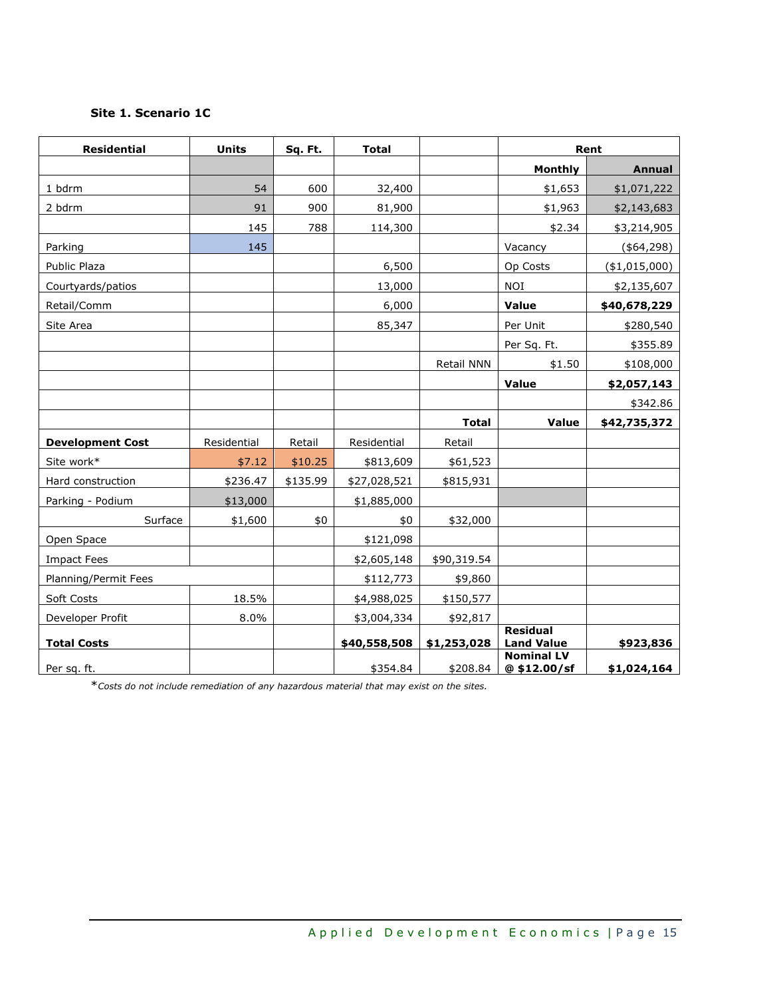# **Site 1. Scenario 1C**

| <b>Residential</b>      | <b>Units</b> | Sq. Ft.  | <b>Total</b> |              | Rent                                 |                |
|-------------------------|--------------|----------|--------------|--------------|--------------------------------------|----------------|
|                         |              |          |              |              | <b>Monthly</b>                       | <b>Annual</b>  |
| 1 bdrm                  | 54           | 600      | 32,400       |              | \$1,653                              | \$1,071,222    |
| 2 bdrm                  | 91           | 900      | 81,900       |              | \$1,963                              | \$2,143,683    |
|                         | 145          | 788      | 114,300      |              | \$2.34                               | \$3,214,905    |
| Parking                 | 145          |          |              |              | Vacancy                              | (\$64, 298)    |
| Public Plaza            |              |          | 6,500        |              | Op Costs                             | $(*1,015,000)$ |
| Courtyards/patios       |              |          | 13,000       |              | <b>NOI</b>                           | \$2,135,607    |
| Retail/Comm             |              |          | 6,000        |              | Value                                | \$40,678,229   |
| Site Area               |              |          | 85,347       |              | Per Unit                             | \$280,540      |
|                         |              |          |              |              | Per Sq. Ft.                          | \$355.89       |
|                         |              |          |              | Retail NNN   | \$1.50                               | \$108,000      |
|                         |              |          |              |              | Value                                | \$2,057,143    |
|                         |              |          |              |              |                                      | \$342.86       |
|                         |              |          |              | <b>Total</b> | Value                                | \$42,735,372   |
| <b>Development Cost</b> | Residential  | Retail   | Residential  | Retail       |                                      |                |
| Site work*              | \$7.12       | \$10.25  | \$813,609    | \$61,523     |                                      |                |
| Hard construction       | \$236.47     | \$135.99 | \$27,028,521 | \$815,931    |                                      |                |
| Parking - Podium        | \$13,000     |          | \$1,885,000  |              |                                      |                |
| Surface                 | \$1,600      | \$0      | \$0          | \$32,000     |                                      |                |
| Open Space              |              |          | \$121,098    |              |                                      |                |
| <b>Impact Fees</b>      |              |          | \$2,605,148  | \$90,319.54  |                                      |                |
| Planning/Permit Fees    |              |          | \$112,773    | \$9,860      |                                      |                |
| Soft Costs              | 18.5%        |          | \$4,988,025  | \$150,577    |                                      |                |
| Developer Profit        | 8.0%         |          | \$3,004,334  | \$92,817     |                                      |                |
| <b>Total Costs</b>      |              |          | \$40,558,508 | \$1,253,028  | <b>Residual</b><br><b>Land Value</b> | \$923,836      |
| Per sq. ft.             |              |          | \$354.84     | \$208.84     | <b>Nominal LV</b><br>@\$12.00/sf     | \$1,024,164    |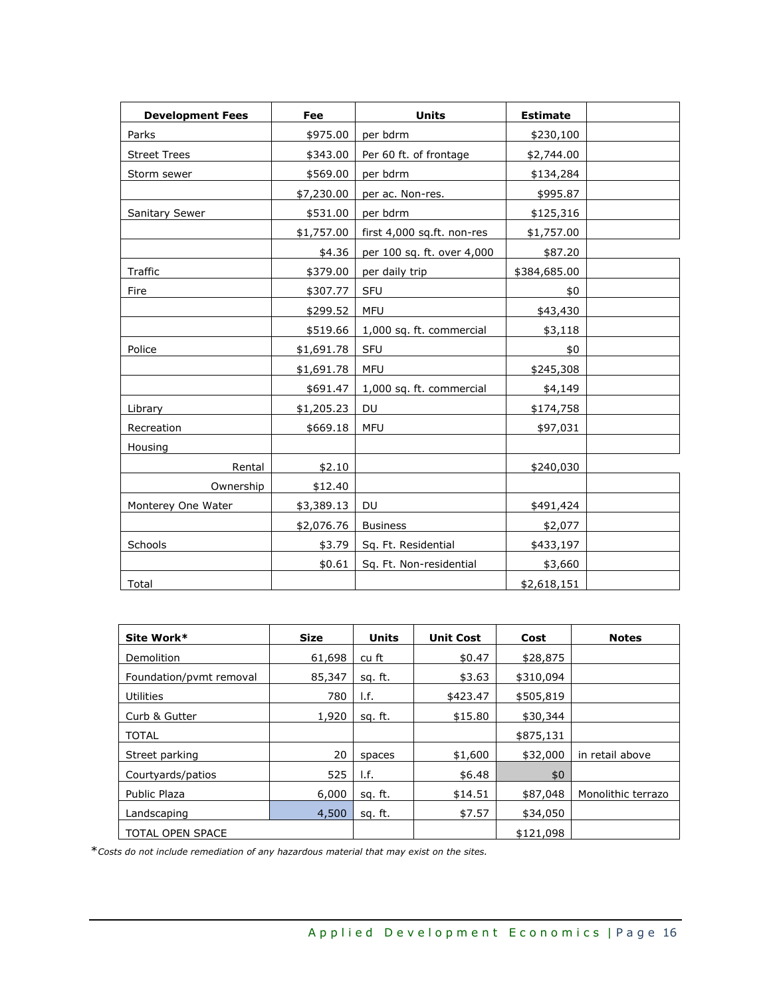| <b>Development Fees</b> | Fee        | <b>Units</b>               | <b>Estimate</b> |  |
|-------------------------|------------|----------------------------|-----------------|--|
| Parks                   | \$975.00   | per bdrm                   | \$230,100       |  |
| <b>Street Trees</b>     | \$343.00   | Per 60 ft. of frontage     | \$2,744.00      |  |
| Storm sewer             | \$569.00   | per bdrm                   | \$134,284       |  |
|                         | \$7,230.00 | per ac. Non-res.           | \$995.87        |  |
| Sanitary Sewer          | \$531.00   | per bdrm                   | \$125,316       |  |
|                         | \$1,757.00 | first 4,000 sq.ft. non-res | \$1,757.00      |  |
|                         | \$4.36     | per 100 sq. ft. over 4,000 | \$87.20         |  |
| Traffic                 | \$379.00   | per daily trip             | \$384,685.00    |  |
| Fire                    | \$307.77   | SFU                        | \$0             |  |
|                         | \$299.52   | <b>MFU</b>                 | \$43,430        |  |
|                         | \$519.66   | 1,000 sq. ft. commercial   | \$3,118         |  |
| Police                  | \$1,691.78 | <b>SFU</b>                 | \$0             |  |
|                         | \$1,691.78 | <b>MFU</b>                 | \$245,308       |  |
|                         | \$691.47   | 1,000 sq. ft. commercial   | \$4,149         |  |
| Library                 | \$1,205.23 | <b>DU</b>                  | \$174,758       |  |
| Recreation              | \$669.18   | <b>MFU</b>                 | \$97,031        |  |
| Housing                 |            |                            |                 |  |
| Rental                  | \$2.10     |                            | \$240,030       |  |
| Ownership               | \$12.40    |                            |                 |  |
| Monterey One Water      | \$3,389.13 | DU                         | \$491,424       |  |
|                         | \$2,076.76 | <b>Business</b>            | \$2,077         |  |
| Schools                 | \$3.79     | Sq. Ft. Residential        | \$433,197       |  |
|                         | \$0.61     | Sq. Ft. Non-residential    | \$3,660         |  |
| Total                   |            |                            | \$2,618,151     |  |

| Site Work*              | <b>Size</b> | <b>Units</b> | <b>Unit Cost</b> | Cost      | <b>Notes</b>       |
|-------------------------|-------------|--------------|------------------|-----------|--------------------|
| Demolition              | 61,698      | cu ft        | \$0.47           | \$28,875  |                    |
| Foundation/pvmt removal | 85,347      | sq. ft.      | \$3.63           | \$310,094 |                    |
| Utilities               | 780         | I.f.         | \$423.47         | \$505,819 |                    |
| Curb & Gutter           | 1,920       | sq. ft.      | \$15.80          | \$30,344  |                    |
| <b>TOTAL</b>            |             |              |                  | \$875,131 |                    |
| Street parking          | 20          | spaces       | \$1,600          | \$32,000  | in retail above    |
| Courtyards/patios       | 525         | I.f.         | \$6.48           | \$0       |                    |
| Public Plaza            | 6,000       | sg. ft.      | \$14.51          | \$87,048  | Monolithic terrazo |
| Landscaping             | 4,500       | sq. ft.      | \$7.57           | \$34,050  |                    |
| <b>TOTAL OPEN SPACE</b> |             |              |                  | \$121,098 |                    |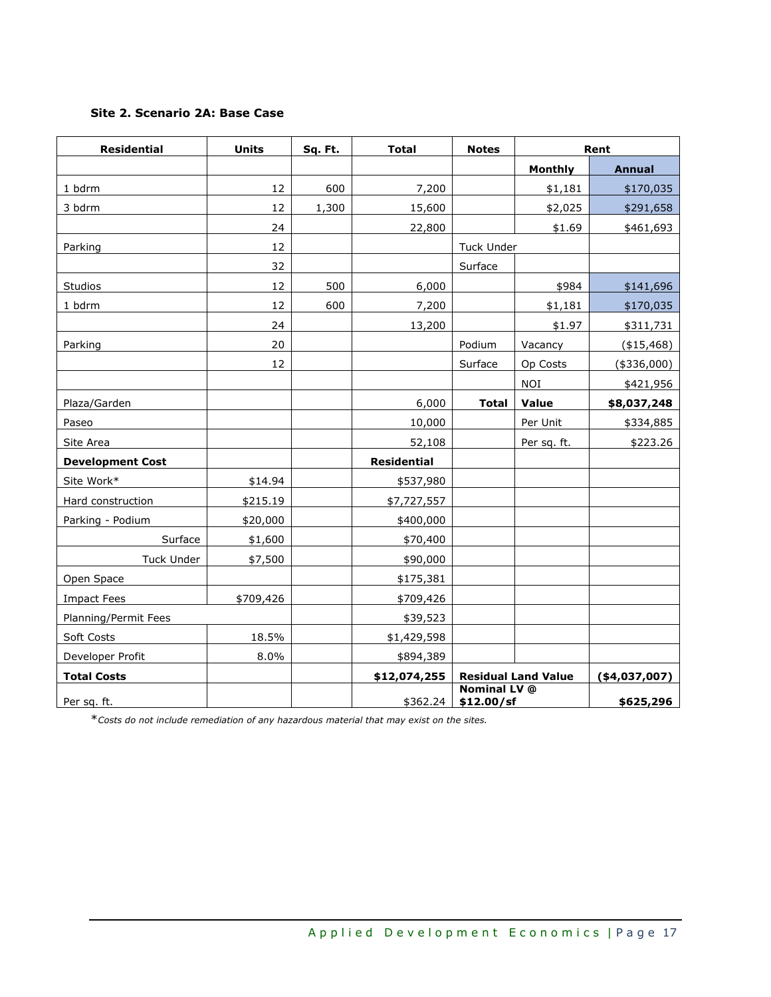# **Site 2. Scenario 2A: Base Case**

| <b>Residential</b>      | <b>Units</b> | Sq. Ft. | <b>Total</b>       | <b>Notes</b>                      |                            | Rent           |
|-------------------------|--------------|---------|--------------------|-----------------------------------|----------------------------|----------------|
|                         |              |         |                    |                                   | <b>Monthly</b>             | <b>Annual</b>  |
| 1 bdrm                  | 12           | 600     | 7,200              |                                   | \$1,181                    | \$170,035      |
| 3 bdrm                  | 12           | 1,300   | 15,600             |                                   | \$2,025                    | \$291,658      |
|                         | 24           |         | 22,800             |                                   | \$1.69                     | \$461,693      |
| Parking                 | 12           |         |                    | <b>Tuck Under</b>                 |                            |                |
|                         | 32           |         |                    | Surface                           |                            |                |
| Studios                 | 12           | 500     | 6,000              |                                   | \$984                      | \$141,696      |
| 1 bdrm                  | 12           | 600     | 7,200              |                                   | \$1,181                    | \$170,035      |
|                         | 24           |         | 13,200             |                                   | \$1.97                     | \$311,731      |
| Parking                 | 20           |         |                    | Podium                            | Vacancy                    | (\$15,468)     |
|                         | 12           |         |                    | Surface                           | Op Costs                   | $(*336,000)$   |
|                         |              |         |                    |                                   | <b>NOI</b>                 | \$421,956      |
| Plaza/Garden            |              |         | 6,000              | <b>Total</b>                      | Value                      | \$8,037,248    |
| Paseo                   |              |         | 10,000             |                                   | Per Unit                   | \$334,885      |
| Site Area               |              |         | 52,108             |                                   | Per sq. ft.                | \$223.26       |
| <b>Development Cost</b> |              |         | <b>Residential</b> |                                   |                            |                |
| Site Work*              | \$14.94      |         | \$537,980          |                                   |                            |                |
| Hard construction       | \$215.19     |         | \$7,727,557        |                                   |                            |                |
| Parking - Podium        | \$20,000     |         | \$400,000          |                                   |                            |                |
| Surface                 | \$1,600      |         | \$70,400           |                                   |                            |                |
| Tuck Under              | \$7,500      |         | \$90,000           |                                   |                            |                |
| Open Space              |              |         | \$175,381          |                                   |                            |                |
| <b>Impact Fees</b>      | \$709,426    |         | \$709,426          |                                   |                            |                |
| Planning/Permit Fees    |              |         | \$39,523           |                                   |                            |                |
| Soft Costs              | 18.5%        |         | \$1,429,598        |                                   |                            |                |
| Developer Profit        | 8.0%         |         | \$894,389          |                                   |                            |                |
| <b>Total Costs</b>      |              |         | \$12,074,255       |                                   | <b>Residual Land Value</b> | ( \$4,037,007) |
| Per sq. ft.             |              |         | \$362.24           | <b>Nominal LV</b> @<br>\$12.00/sf |                            | \$625,296      |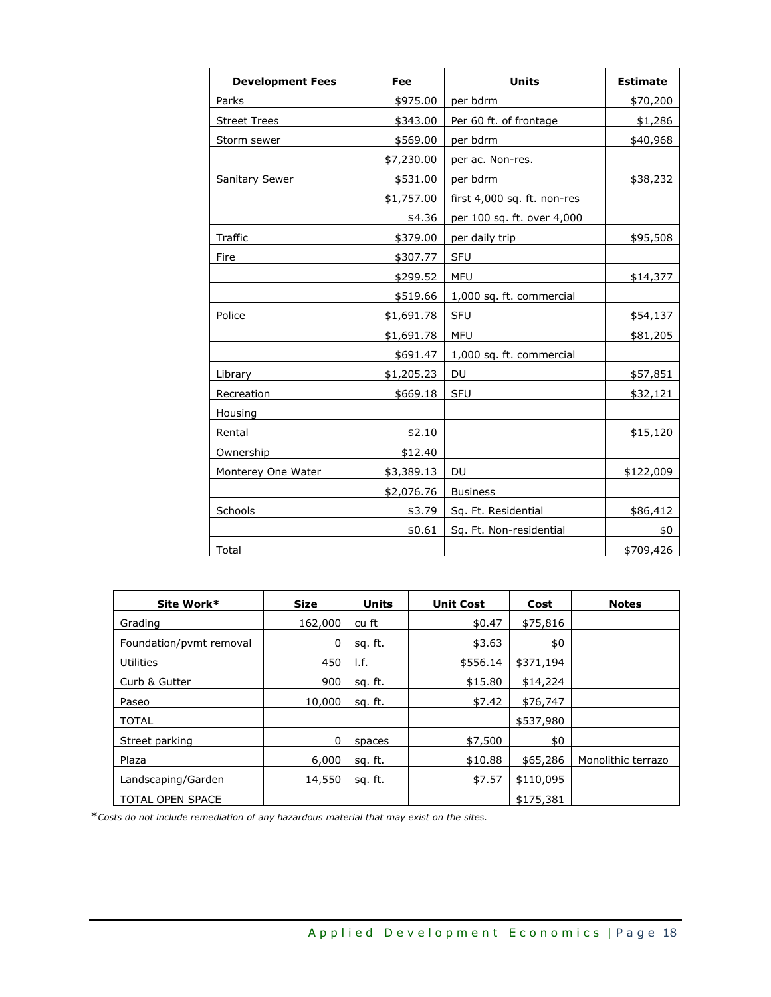| <b>Development Fees</b> | Fee        | <b>Units</b>                | <b>Estimate</b> |
|-------------------------|------------|-----------------------------|-----------------|
| Parks                   | \$975.00   | per bdrm                    | \$70,200        |
| <b>Street Trees</b>     | \$343.00   | Per 60 ft. of frontage      | \$1,286         |
| Storm sewer             | \$569.00   | per bdrm                    | \$40,968        |
|                         | \$7,230.00 | per ac. Non-res.            |                 |
| <b>Sanitary Sewer</b>   | \$531.00   | per bdrm                    | \$38,232        |
|                         | \$1,757.00 | first 4,000 sq. ft. non-res |                 |
|                         | \$4.36     | per 100 sq. ft. over 4,000  |                 |
| Traffic                 | \$379.00   | per daily trip              | \$95,508        |
| Fire                    | \$307.77   | SFU                         |                 |
|                         | \$299.52   | <b>MFU</b>                  | \$14,377        |
|                         | \$519.66   | 1,000 sq. ft. commercial    |                 |
| Police                  | \$1,691.78 | <b>SFU</b>                  | \$54,137        |
|                         | \$1,691.78 | <b>MFU</b>                  | \$81,205        |
|                         | \$691.47   | 1,000 sq. ft. commercial    |                 |
| Library                 | \$1,205.23 | DU                          | \$57,851        |
| Recreation              | \$669.18   | SFU                         | \$32,121        |
| Housing                 |            |                             |                 |
| Rental                  | \$2.10     |                             | \$15,120        |
| Ownership               | \$12.40    |                             |                 |
| Monterey One Water      | \$3,389.13 | DU                          | \$122,009       |
|                         | \$2,076.76 | <b>Business</b>             |                 |
| Schools                 | \$3.79     | Sq. Ft. Residential         | \$86,412        |
|                         | \$0.61     | Sq. Ft. Non-residential     | \$0             |
| Total                   |            |                             | \$709,426       |

| Site Work*              | <b>Size</b> | <b>Units</b> | <b>Unit Cost</b> | Cost      | <b>Notes</b>       |
|-------------------------|-------------|--------------|------------------|-----------|--------------------|
| Grading                 | 162,000     | cu ft        | \$0.47           | \$75,816  |                    |
| Foundation/pvmt removal | 0           | sq. ft.      | \$3.63           | \$0       |                    |
| <b>Utilities</b>        | 450         | I.f.         | \$556.14         | \$371,194 |                    |
| Curb & Gutter           | 900         | sq. ft.      | \$15.80          | \$14,224  |                    |
| Paseo                   | 10,000      | sq. ft.      | \$7.42           | \$76,747  |                    |
| <b>TOTAL</b>            |             |              |                  | \$537,980 |                    |
| Street parking          | 0           | spaces       | \$7,500          | \$0       |                    |
| Plaza                   | 6,000       | sq. ft.      | \$10.88          | \$65,286  | Monolithic terrazo |
| Landscaping/Garden      | 14,550      | sq. ft.      | \$7.57           | \$110,095 |                    |
| <b>TOTAL OPEN SPACE</b> |             |              |                  | \$175,381 |                    |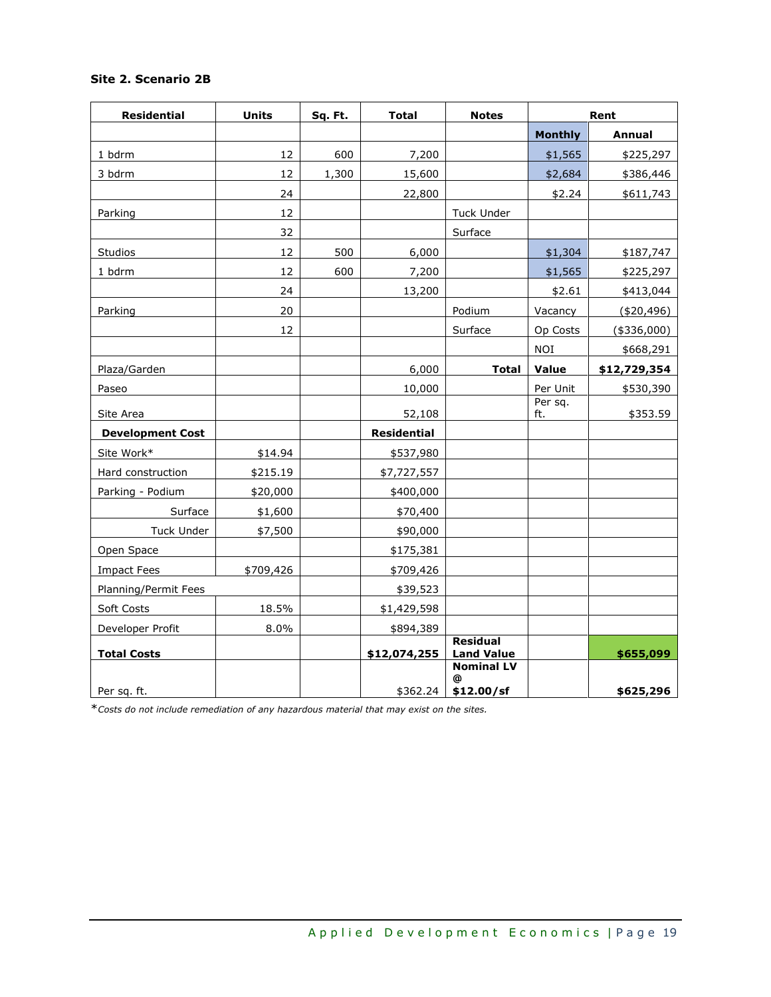| <b>Residential</b>      | <b>Units</b> | Sq. Ft. | <b>Total</b>       | <b>Notes</b>                         |                | Rent          |
|-------------------------|--------------|---------|--------------------|--------------------------------------|----------------|---------------|
|                         |              |         |                    |                                      | <b>Monthly</b> | <b>Annual</b> |
| 1 bdrm                  | 12           | 600     | 7,200              |                                      | \$1,565        | \$225,297     |
| 3 bdrm                  | 12           | 1,300   | 15,600             |                                      | \$2,684        | \$386,446     |
|                         | 24           |         | 22,800             |                                      | \$2.24         | \$611,743     |
| Parking                 | 12           |         |                    | <b>Tuck Under</b>                    |                |               |
|                         | 32           |         |                    | Surface                              |                |               |
| Studios                 | 12           | 500     | 6,000              |                                      | \$1,304        | \$187,747     |
| 1 bdrm                  | 12           | 600     | 7,200              |                                      | \$1,565        | \$225,297     |
|                         | 24           |         | 13,200             |                                      | \$2.61         | \$413,044     |
| Parking                 | 20           |         |                    | Podium                               | Vacancy        | (\$20,496)    |
|                         | 12           |         |                    | Surface                              | Op Costs       | $(*336,000)$  |
|                         |              |         |                    |                                      | <b>NOI</b>     | \$668,291     |
| Plaza/Garden            |              |         | 6,000              | <b>Total</b>                         | Value          | \$12,729,354  |
| Paseo                   |              |         | 10,000             |                                      | Per Unit       | \$530,390     |
| Site Area               |              |         | 52,108             |                                      | Per sq.<br>ft. | \$353.59      |
| <b>Development Cost</b> |              |         | <b>Residential</b> |                                      |                |               |
| Site Work*              | \$14.94      |         | \$537,980          |                                      |                |               |
| Hard construction       | \$215.19     |         | \$7,727,557        |                                      |                |               |
| Parking - Podium        | \$20,000     |         | \$400,000          |                                      |                |               |
| Surface                 | \$1,600      |         | \$70,400           |                                      |                |               |
| <b>Tuck Under</b>       | \$7,500      |         | \$90,000           |                                      |                |               |
| Open Space              |              |         | \$175,381          |                                      |                |               |
| <b>Impact Fees</b>      | \$709,426    |         | \$709,426          |                                      |                |               |
| Planning/Permit Fees    |              |         | \$39,523           |                                      |                |               |
| Soft Costs              | 18.5%        |         | \$1,429,598        |                                      |                |               |
| Developer Profit        | 8.0%         |         | \$894,389          |                                      |                |               |
| <b>Total Costs</b>      |              |         | \$12,074,255       | <b>Residual</b><br><b>Land Value</b> |                | \$655,099     |
|                         |              |         |                    | <b>Nominal LV</b>                    |                |               |
| Per sq. ft.             |              |         | \$362.24           | @<br>\$12.00/sf                      |                | \$625,296     |

# **Site 2. Scenario 2B**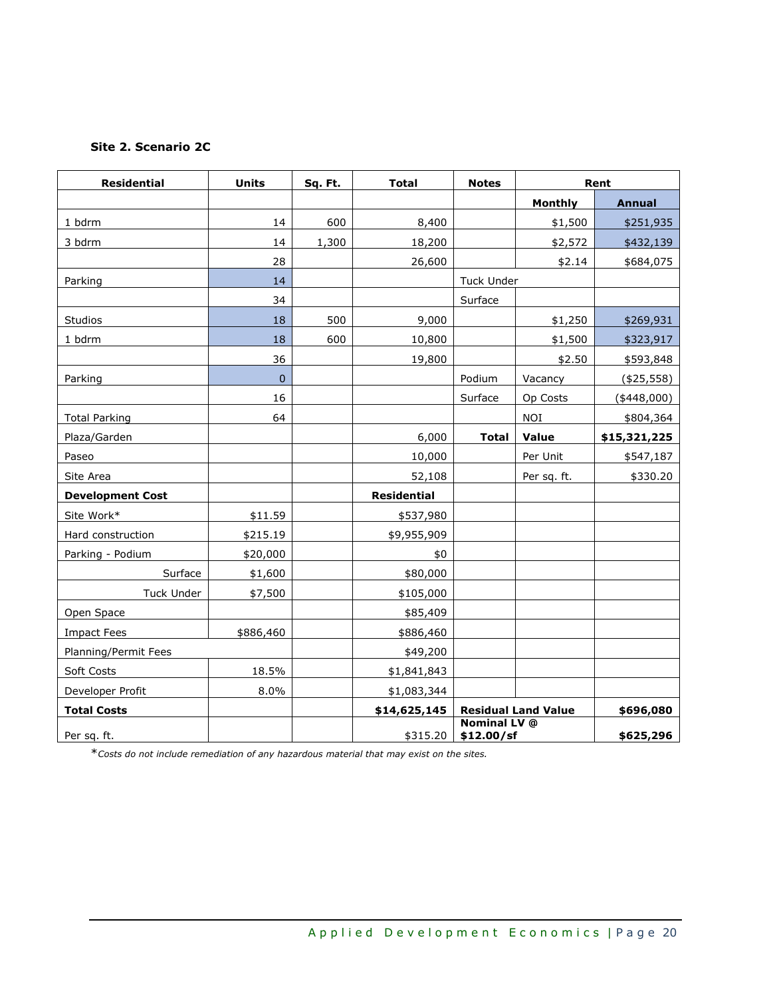# **Site 2. Scenario 2C**

| <b>Residential</b>      | <b>Units</b>   | Sq. Ft. | <b>Total</b>       | <b>Notes</b>                      |                            | Rent          |
|-------------------------|----------------|---------|--------------------|-----------------------------------|----------------------------|---------------|
|                         |                |         |                    |                                   | <b>Monthly</b>             | <b>Annual</b> |
| 1 bdrm                  | 14             | 600     | 8,400              |                                   | \$1,500                    | \$251,935     |
| 3 bdrm                  | 14             | 1,300   | 18,200             |                                   | \$2,572                    | \$432,139     |
|                         | 28             |         | 26,600             |                                   | \$2.14                     | \$684,075     |
| Parking                 | 14             |         |                    | <b>Tuck Under</b>                 |                            |               |
|                         | 34             |         |                    | Surface                           |                            |               |
| <b>Studios</b>          | 18             | 500     | 9,000              |                                   | \$1,250                    | \$269,931     |
| 1 bdrm                  | 18             | 600     | 10,800             |                                   | \$1,500                    | \$323,917     |
|                         | 36             |         | 19,800             |                                   | \$2.50                     | \$593,848     |
| Parking                 | $\overline{0}$ |         |                    | Podium                            | Vacancy                    | (425, 558)    |
|                         | 16             |         |                    | Surface                           | Op Costs                   | $(*448,000)$  |
| <b>Total Parking</b>    | 64             |         |                    |                                   | <b>NOI</b>                 | \$804,364     |
| Plaza/Garden            |                |         | 6,000              | <b>Total</b>                      | Value                      | \$15,321,225  |
| Paseo                   |                |         | 10,000             |                                   | Per Unit                   | \$547,187     |
| Site Area               |                |         | 52,108             |                                   | Per sq. ft.                | \$330.20      |
| <b>Development Cost</b> |                |         | <b>Residential</b> |                                   |                            |               |
| Site Work*              | \$11.59        |         | \$537,980          |                                   |                            |               |
| Hard construction       | \$215.19       |         | \$9,955,909        |                                   |                            |               |
| Parking - Podium        | \$20,000       |         | \$0                |                                   |                            |               |
| Surface                 | \$1,600        |         | \$80,000           |                                   |                            |               |
| <b>Tuck Under</b>       | \$7,500        |         | \$105,000          |                                   |                            |               |
| Open Space              |                |         | \$85,409           |                                   |                            |               |
| <b>Impact Fees</b>      | \$886,460      |         | \$886,460          |                                   |                            |               |
| Planning/Permit Fees    |                |         | \$49,200           |                                   |                            |               |
| Soft Costs              | 18.5%          |         | \$1,841,843        |                                   |                            |               |
| Developer Profit        | 8.0%           |         | \$1,083,344        |                                   |                            |               |
| <b>Total Costs</b>      |                |         | \$14,625,145       |                                   | <b>Residual Land Value</b> | \$696,080     |
| Per sq. ft.             |                |         | \$315.20           | <b>Nominal LV</b> @<br>\$12.00/sf |                            | \$625,296     |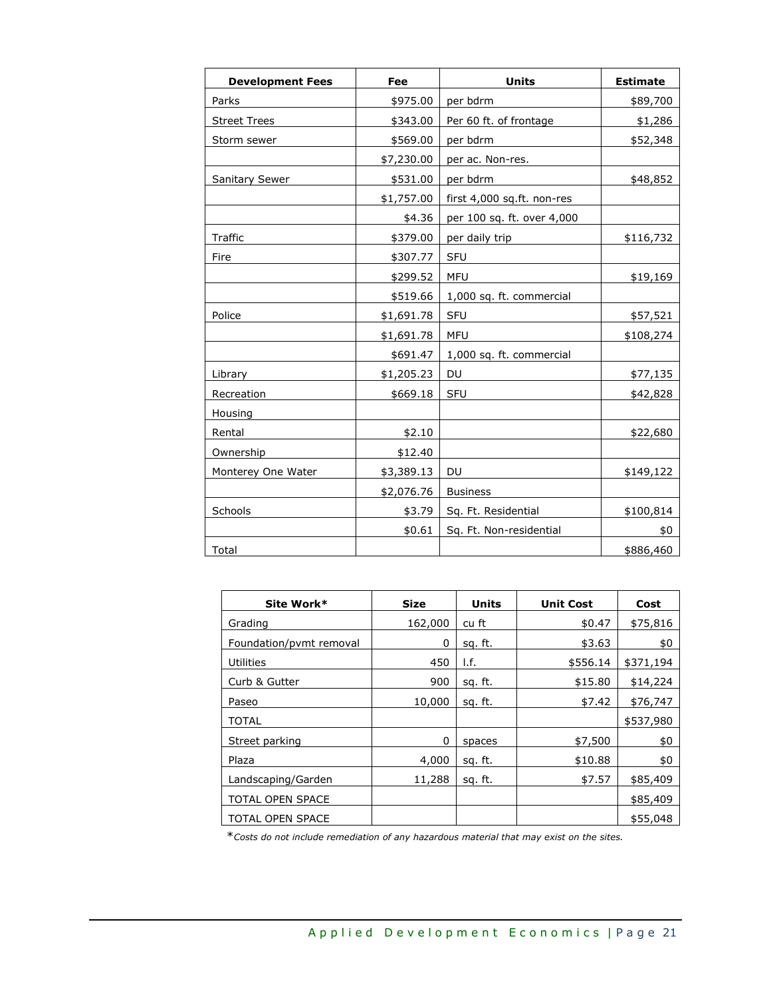| <b>Development Fees</b> | Fee        | <b>Units</b>               | <b>Estimate</b> |
|-------------------------|------------|----------------------------|-----------------|
| Parks                   | \$975.00   | per bdrm                   | \$89,700        |
| <b>Street Trees</b>     | \$343.00   | Per 60 ft. of frontage     | \$1,286         |
| Storm sewer             | \$569.00   | per bdrm                   | \$52,348        |
|                         | \$7,230.00 | per ac. Non-res.           |                 |
| <b>Sanitary Sewer</b>   | \$531.00   | per bdrm                   | \$48,852        |
|                         | \$1,757.00 | first 4,000 sq.ft. non-res |                 |
|                         | \$4.36     | per 100 sq. ft. over 4,000 |                 |
| Traffic                 | \$379.00   | per daily trip             | \$116,732       |
| Fire                    | \$307.77   | SFU                        |                 |
|                         | \$299.52   | <b>MFU</b>                 | \$19,169        |
|                         | \$519.66   | 1,000 sq. ft. commercial   |                 |
| Police                  | \$1,691.78 | <b>SFU</b>                 | \$57,521        |
|                         | \$1,691.78 | <b>MFU</b>                 | \$108,274       |
|                         | \$691.47   | 1,000 sq. ft. commercial   |                 |
| Library                 | \$1,205.23 | DU                         | \$77,135        |
| Recreation              | \$669.18   | <b>SFU</b>                 | \$42,828        |
| <b>Housing</b>          |            |                            |                 |
| Rental                  | \$2.10     |                            | \$22,680        |
| Ownership               | \$12.40    |                            |                 |
| Monterey One Water      | \$3,389.13 | <b>DU</b>                  | \$149,122       |
|                         | \$2,076.76 | <b>Business</b>            |                 |
| Schools                 | \$3.79     | Sq. Ft. Residential        | \$100,814       |
|                         | \$0.61     | Sq. Ft. Non-residential    | \$0             |
| Total                   |            |                            | \$886,460       |

| Site Work*              | Size    | Units   | <b>Unit Cost</b> | Cost      |
|-------------------------|---------|---------|------------------|-----------|
| Grading                 | 162,000 | cu ft   | \$0.47           | \$75,816  |
| Foundation/pvmt removal | 0       | sg. ft. | \$3.63           | \$0       |
| Utilities               | 450     | I.f.    | \$556.14         | \$371,194 |
| Curb & Gutter           | 900     | sq. ft. | \$15.80          | \$14,224  |
| Paseo                   | 10,000  | sq. ft. | \$7.42           | \$76,747  |
| <b>TOTAL</b>            |         |         |                  | \$537,980 |
| Street parking          | 0       | spaces  | \$7,500          | \$0       |
| Plaza                   | 4,000   | sq. ft. | \$10.88          | \$0       |
| Landscaping/Garden      | 11,288  | sq. ft. | \$7.57           | \$85,409  |
| <b>TOTAL OPEN SPACE</b> |         |         |                  | \$85,409  |
| <b>TOTAL OPEN SPACE</b> |         |         |                  | \$55,048  |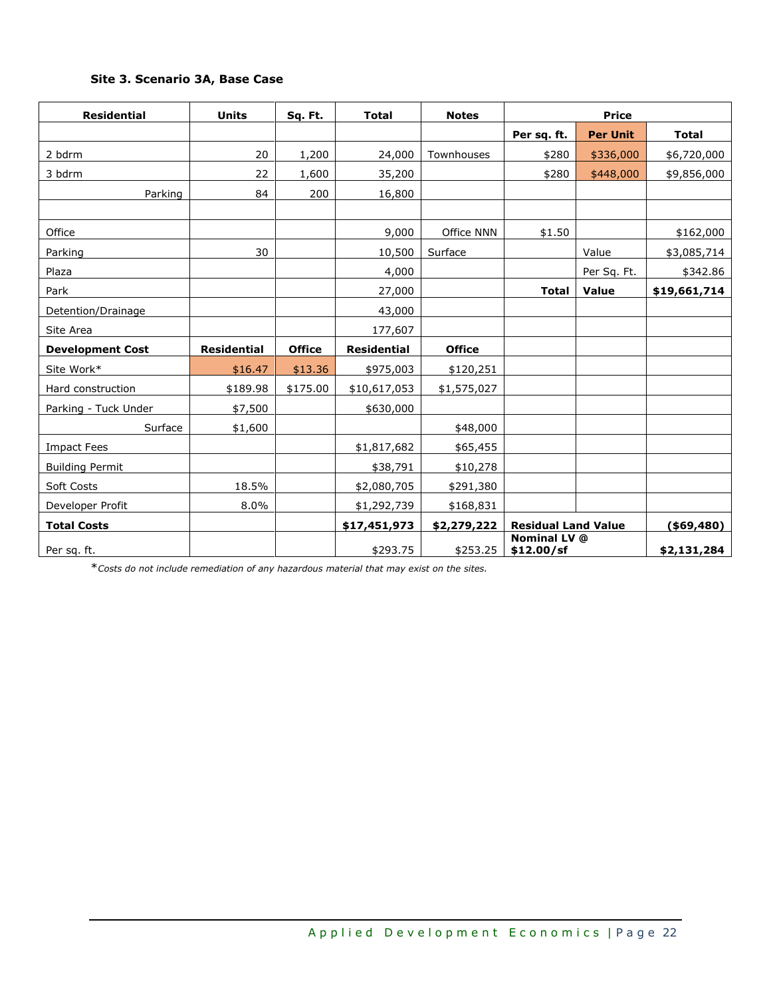# **Site 3. Scenario 3A, Base Case**

| <b>Residential</b>      | <b>Units</b>       | Sq. Ft.       | <b>Total</b>       | <b>Notes</b>  | <b>Price</b>                      |                 |               |
|-------------------------|--------------------|---------------|--------------------|---------------|-----------------------------------|-----------------|---------------|
|                         |                    |               |                    |               | Per sq. ft.                       | <b>Per Unit</b> | <b>Total</b>  |
| 2 bdrm                  | 20                 | 1,200         | 24,000             | Townhouses    | \$280                             | \$336,000       | \$6,720,000   |
| 3 bdrm                  | 22                 | 1,600         | 35,200             |               | \$280                             | \$448,000       | \$9,856,000   |
| Parking                 | 84                 | 200           | 16,800             |               |                                   |                 |               |
|                         |                    |               |                    |               |                                   |                 |               |
| Office                  |                    |               | 9,000              | Office NNN    | \$1.50                            |                 | \$162,000     |
| Parking                 | 30                 |               | 10,500             | Surface       |                                   | Value           | \$3,085,714   |
| Plaza                   |                    |               | 4,000              |               |                                   | Per Sq. Ft.     | \$342.86      |
| Park                    |                    |               | 27,000             |               | <b>Total</b>                      | Value           | \$19,661,714  |
| Detention/Drainage      |                    |               | 43,000             |               |                                   |                 |               |
| Site Area               |                    |               | 177,607            |               |                                   |                 |               |
| <b>Development Cost</b> | <b>Residential</b> | <b>Office</b> | <b>Residential</b> | <b>Office</b> |                                   |                 |               |
| Site Work*              | \$16.47            | \$13.36       | \$975,003          | \$120,251     |                                   |                 |               |
| Hard construction       | \$189.98           | \$175.00      | \$10,617,053       | \$1,575,027   |                                   |                 |               |
| Parking - Tuck Under    | \$7,500            |               | \$630,000          |               |                                   |                 |               |
| Surface                 | \$1,600            |               |                    | \$48,000      |                                   |                 |               |
| <b>Impact Fees</b>      |                    |               | \$1,817,682        | \$65,455      |                                   |                 |               |
| <b>Building Permit</b>  |                    |               | \$38,791           | \$10,278      |                                   |                 |               |
| Soft Costs              | 18.5%              |               | \$2,080,705        | \$291,380     |                                   |                 |               |
| Developer Profit        | 8.0%               |               | \$1,292,739        | \$168,831     |                                   |                 |               |
| <b>Total Costs</b>      |                    |               | \$17,451,973       | \$2,279,222   | <b>Residual Land Value</b>        |                 | $($ \$69,480) |
| Per sq. ft.             |                    |               | \$293.75           | \$253.25      | <b>Nominal LV @</b><br>\$12.00/sf |                 | \$2,131,284   |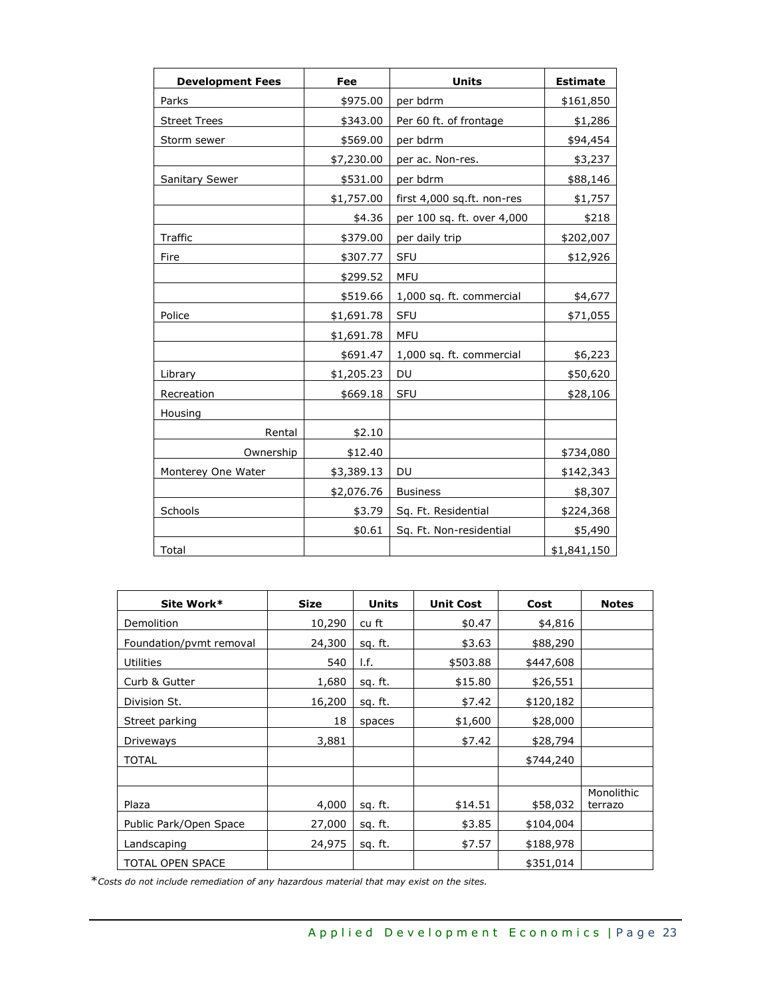| <b>Development Fees</b> | Fee        | <b>Units</b>               | <b>Estimate</b> |
|-------------------------|------------|----------------------------|-----------------|
| Parks                   | \$975.00   | per bdrm                   | \$161,850       |
| <b>Street Trees</b>     | \$343.00   | Per 60 ft. of frontage     | \$1,286         |
| Storm sewer             | \$569.00   | per bdrm                   | \$94,454        |
|                         | \$7,230.00 | per ac. Non-res.           | \$3,237         |
| <b>Sanitary Sewer</b>   | \$531.00   | per bdrm                   | \$88,146        |
|                         | \$1,757.00 | first 4,000 sq.ft. non-res | \$1,757         |
|                         | \$4.36     | per 100 sq. ft. over 4,000 | \$218           |
| Traffic                 | \$379.00   | per daily trip             | \$202,007       |
| Fire                    | \$307.77   | <b>SFU</b>                 | \$12,926        |
|                         | \$299.52   | <b>MFU</b>                 |                 |
|                         | \$519.66   | 1,000 sq. ft. commercial   | \$4,677         |
| Police                  | \$1,691.78 | <b>SFU</b>                 | \$71,055        |
|                         | \$1,691.78 | <b>MFU</b>                 |                 |
|                         | \$691.47   | 1,000 sq. ft. commercial   | \$6,223         |
| Library                 | \$1,205.23 | DU                         | \$50,620        |
| Recreation              | \$669.18   | SFU                        | \$28,106        |
| Housing                 |            |                            |                 |
| Rental                  | \$2.10     |                            |                 |
| Ownership               | \$12.40    |                            | \$734,080       |
| Monterey One Water      | \$3,389.13 | DU                         | \$142,343       |
|                         | \$2,076.76 | <b>Business</b>            | \$8,307         |
| Schools                 | \$3.79     | Sq. Ft. Residential        | \$224,368       |
|                         | \$0.61     | Sq. Ft. Non-residential    | \$5,490         |
| Total                   |            |                            | \$1,841,150     |

| Site Work*              | <b>Size</b> | <b>Units</b>   | <b>Unit Cost</b> | Cost      | <b>Notes</b>          |
|-------------------------|-------------|----------------|------------------|-----------|-----------------------|
| Demolition              | 10,290      | cu ft          | \$0.47           | \$4,816   |                       |
| Foundation/pvmt removal | 24,300      | sq. ft.        | \$3.63           | \$88,290  |                       |
| <b>Utilities</b>        | 540         | I.f.           | \$503.88         | \$447,608 |                       |
| Curb & Gutter           | 1,680       | <u>sq.</u> ft. | \$15.80          | \$26,551  |                       |
| Division St.            | 16,200      | sq. ft.        | \$7.42           | \$120,182 |                       |
| Street parking          | 18          | spaces         | \$1,600          | \$28,000  |                       |
| Driveways               | 3,881       |                | \$7.42           | \$28,794  |                       |
| TOTAL                   |             |                |                  | \$744,240 |                       |
|                         |             |                |                  |           |                       |
| Plaza                   | 4,000       | sq. ft.        | \$14.51          | \$58,032  | Monolithic<br>terrazo |
| Public Park/Open Space  | 27,000      | sq. ft.        | \$3.85           | \$104,004 |                       |
| Landscaping             | 24,975      | sq. ft.        | \$7.57           | \$188,978 |                       |
| TOTAL OPEN SPACE        |             |                |                  | \$351,014 |                       |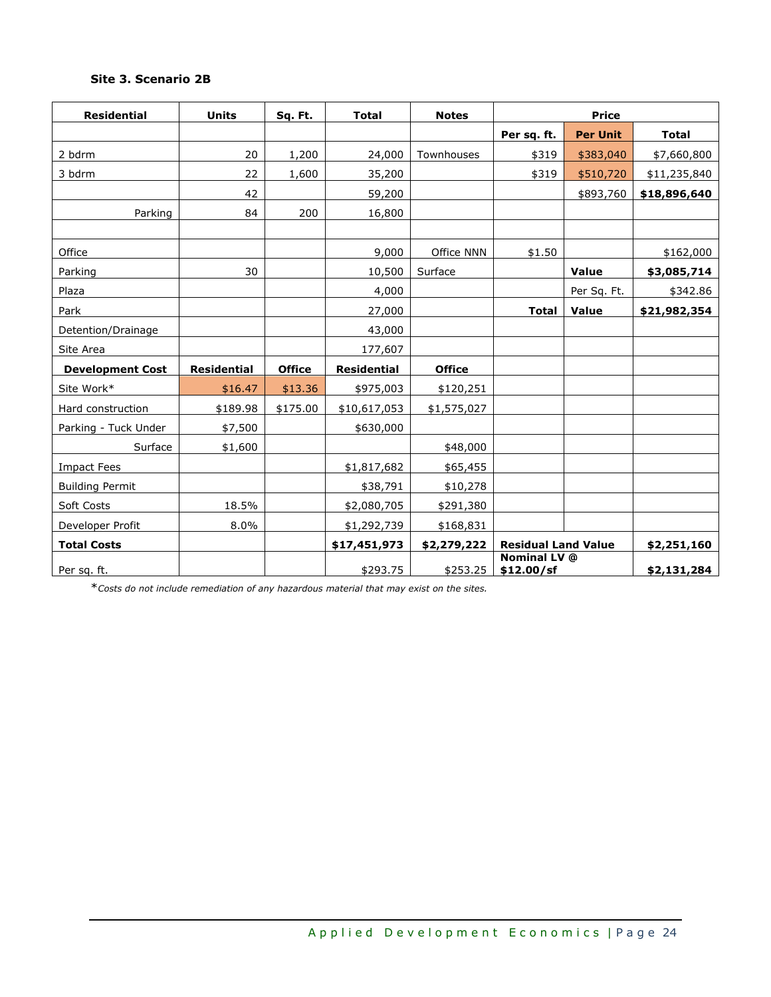# **Site 3. Scenario 2B**

| <b>Residential</b>      | <b>Units</b>       | Sq. Ft.       | <b>Total</b>       | <b>Notes</b>  | <b>Price</b>                      |                 |              |
|-------------------------|--------------------|---------------|--------------------|---------------|-----------------------------------|-----------------|--------------|
|                         |                    |               |                    |               | Per sq. ft.                       | <b>Per Unit</b> | <b>Total</b> |
| 2 bdrm                  | 20                 | 1,200         | 24,000             | Townhouses    | \$319                             | \$383,040       | \$7,660,800  |
| 3 bdrm                  | 22                 | 1,600         | 35,200             |               | \$319                             | \$510,720       | \$11,235,840 |
|                         | 42                 |               | 59,200             |               |                                   | \$893,760       | \$18,896,640 |
| Parking                 | 84                 | 200           | 16,800             |               |                                   |                 |              |
|                         |                    |               |                    |               |                                   |                 |              |
| Office                  |                    |               | 9,000              | Office NNN    | \$1.50                            |                 | \$162,000    |
| Parking                 | 30                 |               | 10,500             | Surface       |                                   | <b>Value</b>    | \$3,085,714  |
| Plaza                   |                    |               | 4,000              |               |                                   | Per Sq. Ft.     | \$342.86     |
| Park                    |                    |               | 27,000             |               | <b>Total</b>                      | <b>Value</b>    | \$21,982,354 |
| Detention/Drainage      |                    |               | 43,000             |               |                                   |                 |              |
| Site Area               |                    |               | 177,607            |               |                                   |                 |              |
| <b>Development Cost</b> | <b>Residential</b> | <b>Office</b> | <b>Residential</b> | <b>Office</b> |                                   |                 |              |
| Site Work*              | \$16.47            | \$13.36       | \$975,003          | \$120,251     |                                   |                 |              |
| Hard construction       | \$189.98           | \$175.00      | \$10,617,053       | \$1,575,027   |                                   |                 |              |
| Parking - Tuck Under    | \$7,500            |               | \$630,000          |               |                                   |                 |              |
| Surface                 | \$1,600            |               |                    | \$48,000      |                                   |                 |              |
| <b>Impact Fees</b>      |                    |               | \$1,817,682        | \$65,455      |                                   |                 |              |
| <b>Building Permit</b>  |                    |               | \$38,791           | \$10,278      |                                   |                 |              |
| Soft Costs              | 18.5%              |               | \$2,080,705        | \$291,380     |                                   |                 |              |
| Developer Profit        | 8.0%               |               | \$1,292,739        | \$168,831     |                                   |                 |              |
| <b>Total Costs</b>      |                    |               | \$17,451,973       | \$2,279,222   | <b>Residual Land Value</b>        |                 | \$2,251,160  |
| Per sq. ft.             |                    |               | \$293.75           | \$253.25      | <b>Nominal LV</b> @<br>\$12.00/sf |                 | \$2,131,284  |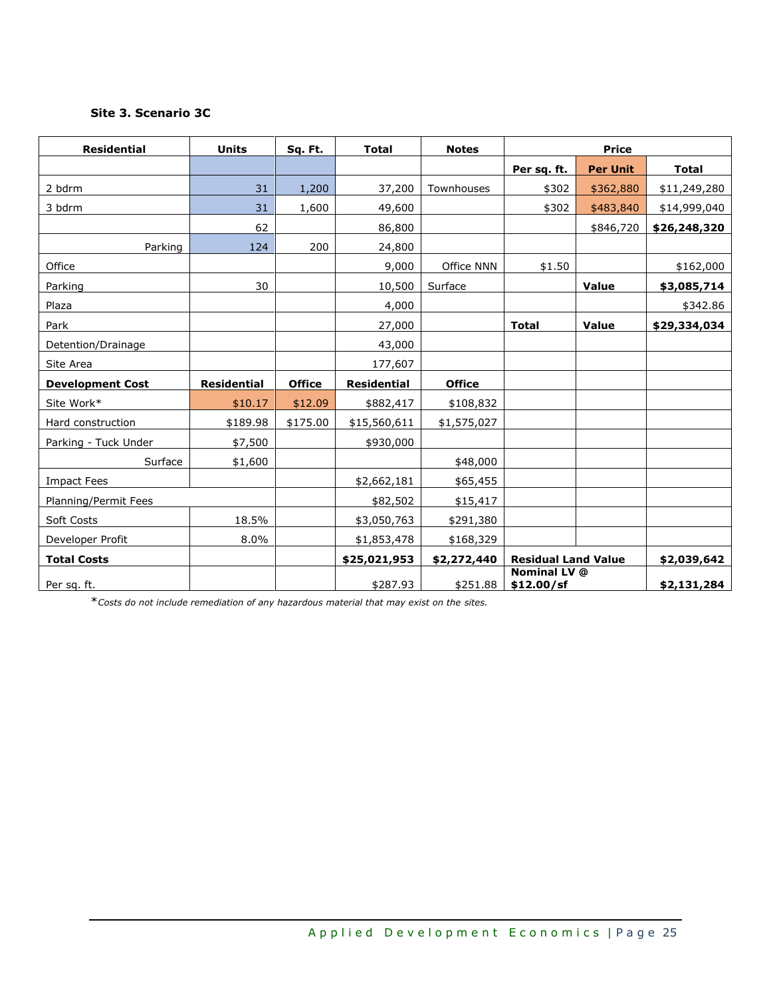# **Site 3. Scenario 3C**

| <b>Residential</b>      | <b>Units</b>       | Sq. Ft.       | <b>Total</b>       | <b>Notes</b>  | <b>Price</b>                      |                 |              |
|-------------------------|--------------------|---------------|--------------------|---------------|-----------------------------------|-----------------|--------------|
|                         |                    |               |                    |               | Per sq. ft.                       | <b>Per Unit</b> | <b>Total</b> |
| 2 bdrm                  | 31                 | 1,200         | 37,200             | Townhouses    | \$302                             | \$362,880       | \$11,249,280 |
| 3 bdrm                  | 31                 | 1,600         | 49,600             |               | \$302                             | \$483,840       | \$14,999,040 |
|                         | 62                 |               | 86,800             |               |                                   | \$846,720       | \$26,248,320 |
| Parking                 | 124                | 200           | 24,800             |               |                                   |                 |              |
| Office                  |                    |               | 9,000              | Office NNN    | \$1.50                            |                 | \$162,000    |
| Parking                 | 30                 |               | 10,500             | Surface       |                                   | Value           | \$3,085,714  |
| Plaza                   |                    |               | 4,000              |               |                                   |                 | \$342.86     |
| Park                    |                    |               | 27,000             |               | <b>Total</b>                      | Value           | \$29,334,034 |
| Detention/Drainage      |                    |               | 43,000             |               |                                   |                 |              |
| Site Area               |                    |               | 177,607            |               |                                   |                 |              |
| <b>Development Cost</b> | <b>Residential</b> | <b>Office</b> | <b>Residential</b> | <b>Office</b> |                                   |                 |              |
| Site Work*              | \$10.17            | \$12.09       | \$882,417          | \$108,832     |                                   |                 |              |
| Hard construction       | \$189.98           | \$175.00      | \$15,560,611       | \$1,575,027   |                                   |                 |              |
| Parking - Tuck Under    | \$7,500            |               | \$930,000          |               |                                   |                 |              |
| Surface                 | \$1,600            |               |                    | \$48,000      |                                   |                 |              |
| <b>Impact Fees</b>      |                    |               | \$2,662,181        | \$65,455      |                                   |                 |              |
| Planning/Permit Fees    |                    |               | \$82,502           | \$15,417      |                                   |                 |              |
| Soft Costs              | 18.5%              |               | \$3,050,763        | \$291,380     |                                   |                 |              |
| Developer Profit        | 8.0%               |               | \$1,853,478        | \$168,329     |                                   |                 |              |
| <b>Total Costs</b>      |                    |               | \$25,021,953       | \$2,272,440   | <b>Residual Land Value</b>        |                 | \$2,039,642  |
| Per sq. ft.             |                    |               | \$287.93           | \$251.88      | <b>Nominal LV @</b><br>\$12.00/sf |                 | \$2,131,284  |